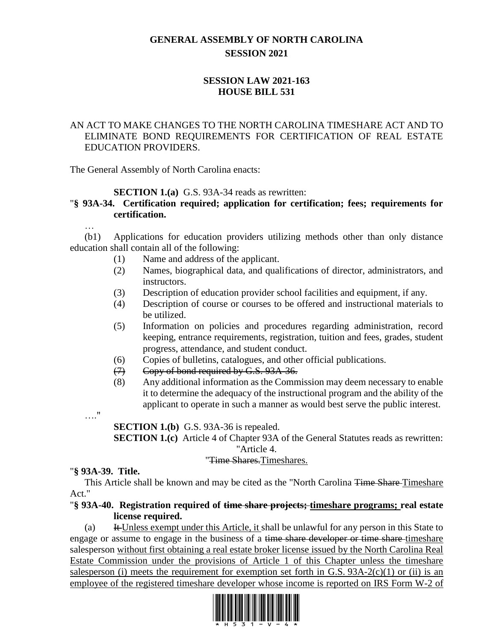## **GENERAL ASSEMBLY OF NORTH CAROLINA SESSION 2021**

## **SESSION LAW 2021-163 HOUSE BILL 531**

## AN ACT TO MAKE CHANGES TO THE NORTH CAROLINA TIMESHARE ACT AND TO ELIMINATE BOND REQUIREMENTS FOR CERTIFICATION OF REAL ESTATE EDUCATION PROVIDERS.

The General Assembly of North Carolina enacts:

## **SECTION 1.(a)** G.S. 93A-34 reads as rewritten:

## "**§ 93A-34. Certification required; application for certification; fees; requirements for certification.**

(b1) Applications for education providers utilizing methods other than only distance education shall contain all of the following:

- (1) Name and address of the applicant.
- (2) Names, biographical data, and qualifications of director, administrators, and instructors.
- (3) Description of education provider school facilities and equipment, if any.
- (4) Description of course or courses to be offered and instructional materials to be utilized.
- (5) Information on policies and procedures regarding administration, record keeping, entrance requirements, registration, tuition and fees, grades, student progress, attendance, and student conduct.
- (6) Copies of bulletins, catalogues, and other official publications.
- (7) Copy of bond required by G.S. 93A-36.
- (8) Any additional information as the Commission may deem necessary to enable it to determine the adequacy of the instructional program and the ability of the applicant to operate in such a manner as would best serve the public interest.
- …."

…

**SECTION 1.(b)** G.S. 93A-36 is repealed.

**SECTION 1.(c)** Article 4 of Chapter 93A of the General Statutes reads as rewritten: "Article 4.

#### "Time Shares.Timeshares.

#### "**§ 93A-39. Title.**

This Article shall be known and may be cited as the "North Carolina <del>Time Share</del>-Timeshare Act."

#### "**§ 93A-40. Registration required of time share projects; timeshare programs; real estate license required.**

(a) It Unless exempt under this Article, it shall be unlawful for any person in this State to engage or assume to engage in the business of a time share developer or time share timeshare salesperson without first obtaining a real estate broker license issued by the North Carolina Real Estate Commission under the provisions of Article 1 of this Chapter unless the timeshare salesperson (i) meets the requirement for exemption set forth in G.S.  $93A-2(c)(1)$  or (ii) is an employee of the registered timeshare developer whose income is reported on IRS Form W-2 of

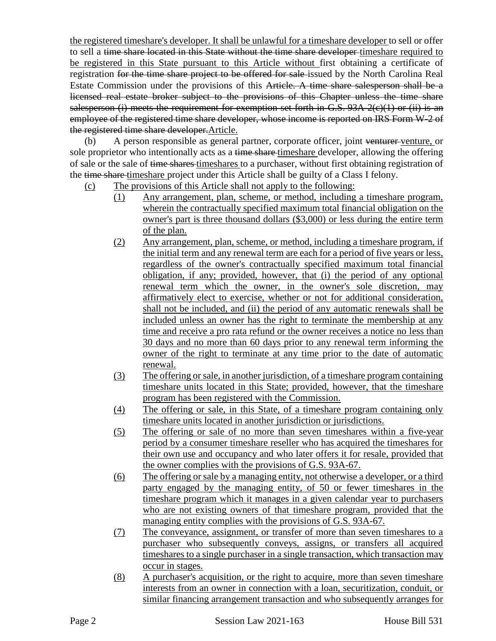the registered timeshare's developer. It shall be unlawful for a timeshare developer to sell or offer to sell a time share located in this State without the time share developer timeshare required to be registered in this State pursuant to this Article without first obtaining a certificate of registration for the time share project to be offered for sale issued by the North Carolina Real Estate Commission under the provisions of this Article. A time share salesperson shall be a licensed real estate broker subject to the provisions of this Chapter unless the time share salesperson (i) meets the requirement for exemption set forth in G.S.  $93A-2(c)(1)$  or (ii) is an employee of the registered time share developer, whose income is reported on IRS Form W-2 of the registered time share developer.Article.

(b) A person responsible as general partner, corporate officer, joint venturer venture, or sole proprietor who intentionally acts as a time share timeshare developer, allowing the offering of sale or the sale of time shares timeshares to a purchaser, without first obtaining registration of the time share timeshare project under this Article shall be guilty of a Class I felony.

- (c) The provisions of this Article shall not apply to the following:
	- (1) Any arrangement, plan, scheme, or method, including a timeshare program, wherein the contractually specified maximum total financial obligation on the owner's part is three thousand dollars (\$3,000) or less during the entire term of the plan.
	- (2) Any arrangement, plan, scheme, or method, including a timeshare program, if the initial term and any renewal term are each for a period of five years or less, regardless of the owner's contractually specified maximum total financial obligation, if any; provided, however, that (i) the period of any optional renewal term which the owner, in the owner's sole discretion, may affirmatively elect to exercise, whether or not for additional consideration, shall not be included, and (ii) the period of any automatic renewals shall be included unless an owner has the right to terminate the membership at any time and receive a pro rata refund or the owner receives a notice no less than 30 days and no more than 60 days prior to any renewal term informing the owner of the right to terminate at any time prior to the date of automatic renewal.
	- (3) The offering or sale, in another jurisdiction, of a timeshare program containing timeshare units located in this State; provided, however, that the timeshare program has been registered with the Commission.
	- (4) The offering or sale, in this State, of a timeshare program containing only timeshare units located in another jurisdiction or jurisdictions.
	- (5) The offering or sale of no more than seven timeshares within a five-year period by a consumer timeshare reseller who has acquired the timeshares for their own use and occupancy and who later offers it for resale, provided that the owner complies with the provisions of G.S. 93A-67.
	- (6) The offering or sale by a managing entity, not otherwise a developer, or a third party engaged by the managing entity, of 50 or fewer timeshares in the timeshare program which it manages in a given calendar year to purchasers who are not existing owners of that timeshare program, provided that the managing entity complies with the provisions of G.S. 93A-67.
	- (7) The conveyance, assignment, or transfer of more than seven timeshares to a purchaser who subsequently conveys, assigns, or transfers all acquired timeshares to a single purchaser in a single transaction, which transaction may occur in stages.
	- (8) A purchaser's acquisition, or the right to acquire, more than seven timeshare interests from an owner in connection with a loan, securitization, conduit, or similar financing arrangement transaction and who subsequently arranges for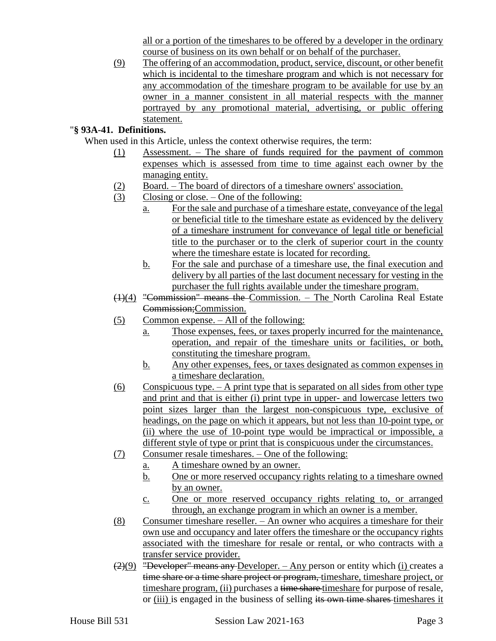all or a portion of the timeshares to be offered by a developer in the ordinary course of business on its own behalf or on behalf of the purchaser.

(9) The offering of an accommodation, product, service, discount, or other benefit which is incidental to the timeshare program and which is not necessary for any accommodation of the timeshare program to be available for use by an owner in a manner consistent in all material respects with the manner portrayed by any promotional material, advertising, or public offering statement.

## "**§ 93A-41. Definitions.**

When used in this Article, unless the context otherwise requires, the term:

- (1) Assessment. The share of funds required for the payment of common expenses which is assessed from time to time against each owner by the managing entity.
- (2) Board. The board of directors of a timeshare owners' association.
- (3) Closing or close. One of the following:
	- a. For the sale and purchase of a timeshare estate, conveyance of the legal or beneficial title to the timeshare estate as evidenced by the delivery of a timeshare instrument for conveyance of legal title or beneficial title to the purchaser or to the clerk of superior court in the county where the timeshare estate is located for recording.
	- b. For the sale and purchase of a timeshare use, the final execution and delivery by all parties of the last document necessary for vesting in the purchaser the full rights available under the timeshare program.
- (1)(4) "Commission" means the Commission. The North Carolina Real Estate Commission;Commission.
- (5) Common expense. All of the following:
	- a. Those expenses, fees, or taxes properly incurred for the maintenance, operation, and repair of the timeshare units or facilities, or both, constituting the timeshare program.
	- b. Any other expenses, fees, or taxes designated as common expenses in a timeshare declaration.
- $(6)$  Conspicuous type. A print type that is separated on all sides from other type and print and that is either (i) print type in upper- and lowercase letters two point sizes larger than the largest non-conspicuous type, exclusive of headings, on the page on which it appears, but not less than 10-point type, or (ii) where the use of 10-point type would be impractical or impossible, a different style of type or print that is conspicuous under the circumstances.
- (7) Consumer resale timeshares. One of the following:
	- a. A timeshare owned by an owner.
		- b. One or more reserved occupancy rights relating to a timeshare owned by an owner.
		- c. One or more reserved occupancy rights relating to, or arranged through, an exchange program in which an owner is a member.
- (8) Consumer timeshare reseller. An owner who acquires a timeshare for their own use and occupancy and later offers the timeshare or the occupancy rights associated with the timeshare for resale or rental, or who contracts with a transfer service provider.
- $(2)(9)$  "Developer" means any Developer. Any person or entity which (i) creates a time share or a time share project or program, timeshare, timeshare project, or timeshare program, (ii) purchases a time share timeshare for purpose of resale, or (iii) is engaged in the business of selling its own time shares timeshares it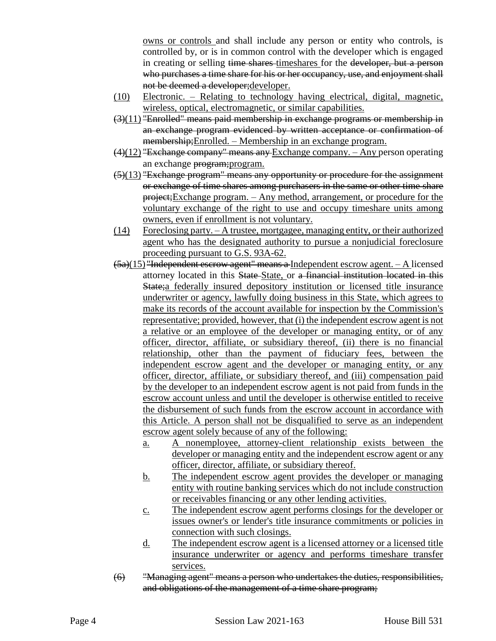owns or controls and shall include any person or entity who controls, is controlled by, or is in common control with the developer which is engaged in creating or selling time shares timeshares for the developer, but a person who purchases a time share for his or her occupancy, use, and enjoyment shall not be deemed a developer;developer.

- (10) Electronic. Relating to technology having electrical, digital, magnetic, wireless, optical, electromagnetic, or similar capabilities.
- $(3)(11)$  "Enrolled" means paid membership in exchange programs or membership in an exchange program evidenced by written acceptance or confirmation of membership;Enrolled. – Membership in an exchange program.
- $(4)(12)$  "Exchange company" means any Exchange company. Any person operating an exchange program;program.
- $(5)(13)$  "Exchange program" means any opportunity or procedure for the assignment or exchange of time shares among purchasers in the same or other time share project;Exchange program. – Any method, arrangement, or procedure for the voluntary exchange of the right to use and occupy timeshare units among owners, even if enrollment is not voluntary.
- (14) Foreclosing party. A trustee, mortgagee, managing entity, or their authorized agent who has the designated authority to pursue a nonjudicial foreclosure proceeding pursuant to G.S. 93A-62.
- (5a)(15) "Independent escrow agent" means a Independent escrow agent. A licensed attorney located in this State State, or a financial institution located in this State;a federally insured depository institution or licensed title insurance underwriter or agency, lawfully doing business in this State, which agrees to make its records of the account available for inspection by the Commission's representative; provided, however, that (i) the independent escrow agent is not a relative or an employee of the developer or managing entity, or of any officer, director, affiliate, or subsidiary thereof, (ii) there is no financial relationship, other than the payment of fiduciary fees, between the independent escrow agent and the developer or managing entity, or any officer, director, affiliate, or subsidiary thereof, and (iii) compensation paid by the developer to an independent escrow agent is not paid from funds in the escrow account unless and until the developer is otherwise entitled to receive the disbursement of such funds from the escrow account in accordance with this Article. A person shall not be disqualified to serve as an independent escrow agent solely because of any of the following:
	- a. A nonemployee, attorney-client relationship exists between the developer or managing entity and the independent escrow agent or any officer, director, affiliate, or subsidiary thereof.
	- b. The independent escrow agent provides the developer or managing entity with routine banking services which do not include construction or receivables financing or any other lending activities.
	- c. The independent escrow agent performs closings for the developer or issues owner's or lender's title insurance commitments or policies in connection with such closings.
	- d. The independent escrow agent is a licensed attorney or a licensed title insurance underwriter or agency and performs timeshare transfer services.
- (6) "Managing agent" means a person who undertakes the duties, responsibilities, and obligations of the management of a time share program;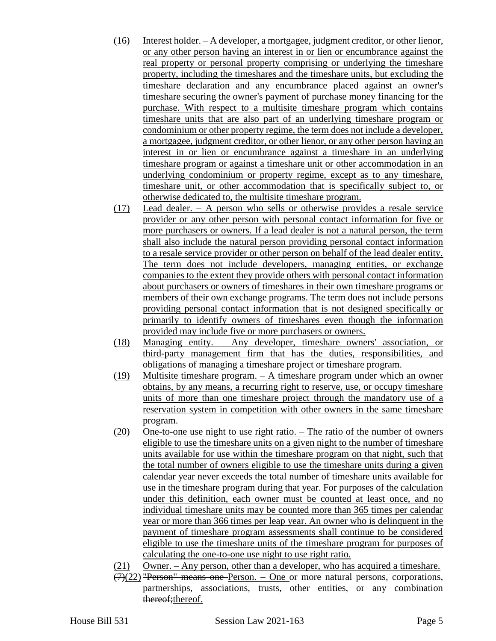- (16) Interest holder. A developer, a mortgagee, judgment creditor, or other lienor, or any other person having an interest in or lien or encumbrance against the real property or personal property comprising or underlying the timeshare property, including the timeshares and the timeshare units, but excluding the timeshare declaration and any encumbrance placed against an owner's timeshare securing the owner's payment of purchase money financing for the purchase. With respect to a multisite timeshare program which contains timeshare units that are also part of an underlying timeshare program or condominium or other property regime, the term does not include a developer, a mortgagee, judgment creditor, or other lienor, or any other person having an interest in or lien or encumbrance against a timeshare in an underlying timeshare program or against a timeshare unit or other accommodation in an underlying condominium or property regime, except as to any timeshare, timeshare unit, or other accommodation that is specifically subject to, or otherwise dedicated to, the multisite timeshare program.
- (17) Lead dealer. A person who sells or otherwise provides a resale service provider or any other person with personal contact information for five or more purchasers or owners. If a lead dealer is not a natural person, the term shall also include the natural person providing personal contact information to a resale service provider or other person on behalf of the lead dealer entity. The term does not include developers, managing entities, or exchange companies to the extent they provide others with personal contact information about purchasers or owners of timeshares in their own timeshare programs or members of their own exchange programs. The term does not include persons providing personal contact information that is not designed specifically or primarily to identify owners of timeshares even though the information provided may include five or more purchasers or owners.
- (18) Managing entity. Any developer, timeshare owners' association, or third-party management firm that has the duties, responsibilities, and obligations of managing a timeshare project or timeshare program.
- (19) Multisite timeshare program. A timeshare program under which an owner obtains, by any means, a recurring right to reserve, use, or occupy timeshare units of more than one timeshare project through the mandatory use of a reservation system in competition with other owners in the same timeshare program.
- (20) One-to-one use night to use right ratio. The ratio of the number of owners eligible to use the timeshare units on a given night to the number of timeshare units available for use within the timeshare program on that night, such that the total number of owners eligible to use the timeshare units during a given calendar year never exceeds the total number of timeshare units available for use in the timeshare program during that year. For purposes of the calculation under this definition, each owner must be counted at least once, and no individual timeshare units may be counted more than 365 times per calendar year or more than 366 times per leap year. An owner who is delinquent in the payment of timeshare program assessments shall continue to be considered eligible to use the timeshare units of the timeshare program for purposes of calculating the one-to-one use night to use right ratio.
- (21) Owner. Any person, other than a developer, who has acquired a timeshare.
- $(7)(22)$  "Person" means one Person. One or more natural persons, corporations, partnerships, associations, trusts, other entities, or any combination thereof; thereof.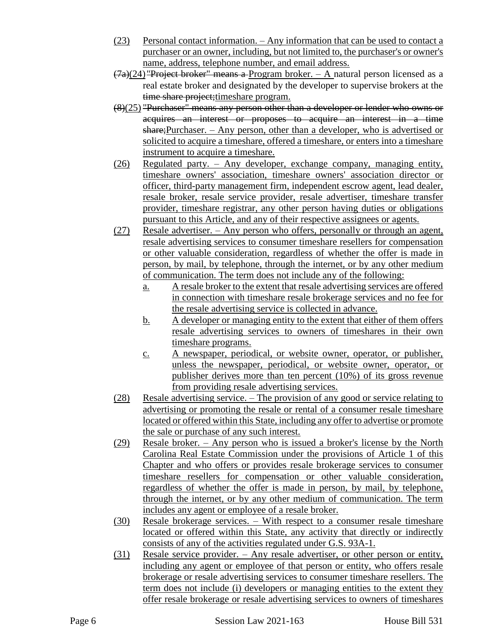- (23) Personal contact information. Any information that can be used to contact a purchaser or an owner, including, but not limited to, the purchaser's or owner's name, address, telephone number, and email address.
- $(7a)(24)$  "Project broker" means a Program broker. A natural person licensed as a real estate broker and designated by the developer to supervise brokers at the time share project; timeshare program.
- (8)(25) "Purchaser" means any person other than a developer or lender who owns or acquires an interest or proposes to acquire an interest in a time share;Purchaser. – Any person, other than a developer, who is advertised or solicited to acquire a timeshare, offered a timeshare, or enters into a timeshare instrument to acquire a timeshare.
- (26) Regulated party. Any developer, exchange company, managing entity, timeshare owners' association, timeshare owners' association director or officer, third-party management firm, independent escrow agent, lead dealer, resale broker, resale service provider, resale advertiser, timeshare transfer provider, timeshare registrar, any other person having duties or obligations pursuant to this Article, and any of their respective assignees or agents.
- (27) Resale advertiser. Any person who offers, personally or through an agent, resale advertising services to consumer timeshare resellers for compensation or other valuable consideration, regardless of whether the offer is made in person, by mail, by telephone, through the internet, or by any other medium of communication. The term does not include any of the following:
	- a. A resale broker to the extent that resale advertising services are offered in connection with timeshare resale brokerage services and no fee for the resale advertising service is collected in advance.
	- b. A developer or managing entity to the extent that either of them offers resale advertising services to owners of timeshares in their own timeshare programs.
	- c. A newspaper, periodical, or website owner, operator, or publisher, unless the newspaper, periodical, or website owner, operator, or publisher derives more than ten percent (10%) of its gross revenue from providing resale advertising services.
- (28) Resale advertising service. The provision of any good or service relating to advertising or promoting the resale or rental of a consumer resale timeshare located or offered within this State, including any offer to advertise or promote the sale or purchase of any such interest.
- (29) Resale broker. Any person who is issued a broker's license by the North Carolina Real Estate Commission under the provisions of Article 1 of this Chapter and who offers or provides resale brokerage services to consumer timeshare resellers for compensation or other valuable consideration, regardless of whether the offer is made in person, by mail, by telephone, through the internet, or by any other medium of communication. The term includes any agent or employee of a resale broker.
- (30) Resale brokerage services. With respect to a consumer resale timeshare located or offered within this State, any activity that directly or indirectly consists of any of the activities regulated under G.S. 93A-1.
- (31) Resale service provider. Any resale advertiser, or other person or entity, including any agent or employee of that person or entity, who offers resale brokerage or resale advertising services to consumer timeshare resellers. The term does not include (i) developers or managing entities to the extent they offer resale brokerage or resale advertising services to owners of timeshares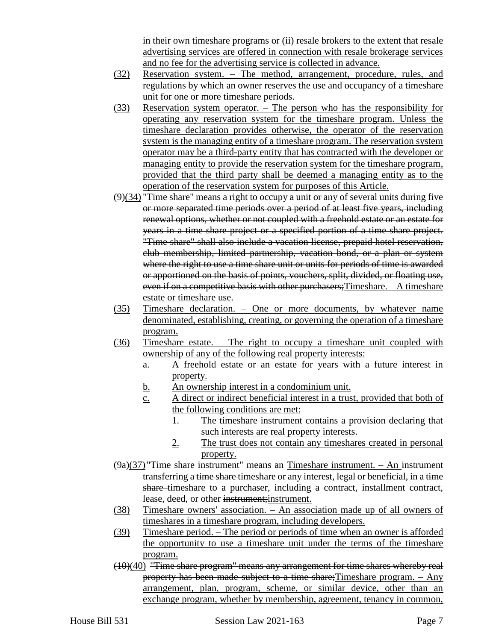in their own timeshare programs or (ii) resale brokers to the extent that resale advertising services are offered in connection with resale brokerage services and no fee for the advertising service is collected in advance.

- (32) Reservation system. The method, arrangement, procedure, rules, and regulations by which an owner reserves the use and occupancy of a timeshare unit for one or more timeshare periods.
- (33) Reservation system operator. The person who has the responsibility for operating any reservation system for the timeshare program. Unless the timeshare declaration provides otherwise, the operator of the reservation system is the managing entity of a timeshare program. The reservation system operator may be a third-party entity that has contracted with the developer or managing entity to provide the reservation system for the timeshare program, provided that the third party shall be deemed a managing entity as to the operation of the reservation system for purposes of this Article.
- $(9)(34)$  "Time share" means a right to occupy a unit or any of several units during five or more separated time periods over a period of at least five years, including renewal options, whether or not coupled with a freehold estate or an estate for years in a time share project or a specified portion of a time share project. "Time share" shall also include a vacation license, prepaid hotel reservation, club membership, limited partnership, vacation bond, or a plan or system where the right to use a time share unit or units for periods of time is awarded or apportioned on the basis of points, vouchers, split, divided, or floating use, even if on a competitive basis with other purchasers; Timeshare. - A timeshare estate or timeshare use.
- (35) Timeshare declaration. One or more documents, by whatever name denominated, establishing, creating, or governing the operation of a timeshare program.
- (36) Timeshare estate. The right to occupy a timeshare unit coupled with ownership of any of the following real property interests:
	- a. A freehold estate or an estate for years with a future interest in property.
	- b. An ownership interest in a condominium unit.
	- c. A direct or indirect beneficial interest in a trust, provided that both of the following conditions are met:
		- 1. The timeshare instrument contains a provision declaring that such interests are real property interests.
		- 2. The trust does not contain any timeshares created in personal property.
- $(9a)(37)$  "Time share instrument" means an-Timeshare instrument. An instrument transferring a time share timeshare or any interest, legal or beneficial, in a time share-timeshare to a purchaser, including a contract, installment contract, lease, deed, or other instrument; instrument.
- (38) Timeshare owners' association. An association made up of all owners of timeshares in a timeshare program, including developers.
- (39) Timeshare period. The period or periods of time when an owner is afforded the opportunity to use a timeshare unit under the terms of the timeshare program.
- (10)(40) "Time share program" means any arrangement for time shares whereby real property has been made subject to a time share;Timeshare program. – Any arrangement, plan, program, scheme, or similar device, other than an exchange program, whether by membership, agreement, tenancy in common,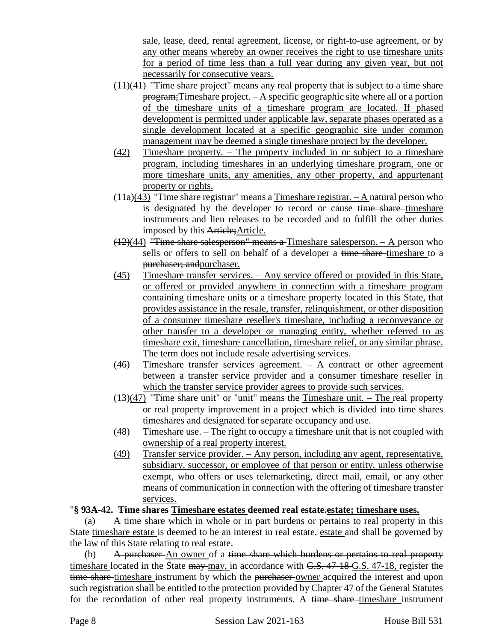sale, lease, deed, rental agreement, license, or right-to-use agreement, or by any other means whereby an owner receives the right to use timeshare units for a period of time less than a full year during any given year, but not necessarily for consecutive years.

- (11)(41) "Time share project" means any real property that is subject to a time share program;Timeshare project. – A specific geographic site where all or a portion of the timeshare units of a timeshare program are located. If phased development is permitted under applicable law, separate phases operated as a single development located at a specific geographic site under common management may be deemed a single timeshare project by the developer.
- (42) Timeshare property. The property included in or subject to a timeshare program, including timeshares in an underlying timeshare program, one or more timeshare units, any amenities, any other property, and appurtenant property or rights.
- $(11a)(43)$  "Time share registrar" means a Timeshare registrar.  $-$  A natural person who is designated by the developer to record or cause time share timeshare instruments and lien releases to be recorded and to fulfill the other duties imposed by this Article;Article.
- (12)(44) "Time share salesperson" means a Timeshare salesperson. A person who sells or offers to sell on behalf of a developer a time share-timeshare to a purchaser; andpurchaser.
- (45) Timeshare transfer services. Any service offered or provided in this State, or offered or provided anywhere in connection with a timeshare program containing timeshare units or a timeshare property located in this State, that provides assistance in the resale, transfer, relinquishment, or other disposition of a consumer timeshare reseller's timeshare, including a reconveyance or other transfer to a developer or managing entity, whether referred to as timeshare exit, timeshare cancellation, timeshare relief, or any similar phrase. The term does not include resale advertising services.
- (46) Timeshare transfer services agreement. A contract or other agreement between a transfer service provider and a consumer timeshare reseller in which the transfer service provider agrees to provide such services.
- (13)(47) "Time share unit" or "unit" means the Timeshare unit. The real property or real property improvement in a project which is divided into time shares timeshares and designated for separate occupancy and use.
- (48) Timeshare use. The right to occupy a timeshare unit that is not coupled with ownership of a real property interest.
- (49) Transfer service provider. Any person, including any agent, representative, subsidiary, successor, or employee of that person or entity, unless otherwise exempt, who offers or uses telemarketing, direct mail, email, or any other means of communication in connection with the offering of timeshare transfer services.

## "**§ 93A-42. Time shares Timeshare estates deemed real estate.estate; timeshare uses.**

(a) A time share which in whole or in part burdens or pertains to real property in this State timeshare estate is deemed to be an interest in real estate, estate and shall be governed by the law of this State relating to real estate.

(b) A purchaser An owner of a time share which burdens or pertains to real property timeshare located in the State may may, in accordance with G.S. 47-18 G.S. 47-18, register the time share timeshare instrument by which the purchaser owner acquired the interest and upon such registration shall be entitled to the protection provided by Chapter 47 of the General Statutes for the recordation of other real property instruments. A time share-timeshare instrument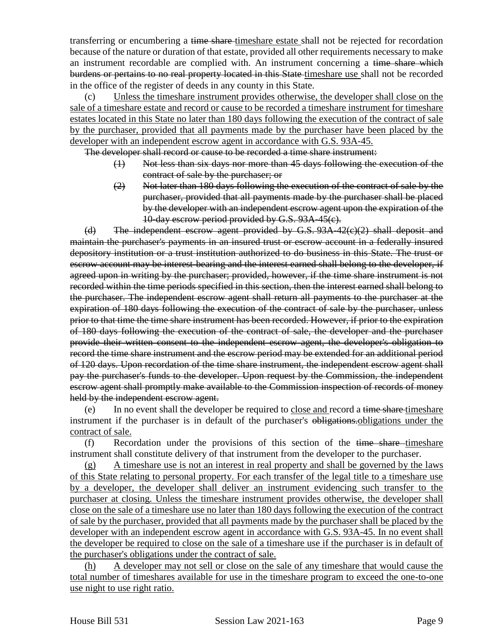transferring or encumbering a time share-timeshare estate shall not be rejected for recordation because of the nature or duration of that estate, provided all other requirements necessary to make an instrument recordable are complied with. An instrument concerning a time share which burdens or pertains to no real property located in this State-timeshare use shall not be recorded in the office of the register of deeds in any county in this State.

(c) Unless the timeshare instrument provides otherwise, the developer shall close on the sale of a timeshare estate and record or cause to be recorded a timeshare instrument for timeshare estates located in this State no later than 180 days following the execution of the contract of sale by the purchaser, provided that all payments made by the purchaser have been placed by the developer with an independent escrow agent in accordance with G.S. 93A-45.

The developer shall record or cause to be recorded a time share instrument:

- (1) Not less than six days nor more than 45 days following the execution of the contract of sale by the purchaser; or
- (2) Not later than 180 days following the execution of the contract of sale by the purchaser, provided that all payments made by the purchaser shall be placed by the developer with an independent escrow agent upon the expiration of the 10-day escrow period provided by G.S. 93A-45(c).

(d) The independent escrow agent provided by G.S. 93A-42(c)(2) shall deposit and maintain the purchaser's payments in an insured trust or escrow account in a federally insured depository institution or a trust institution authorized to do business in this State. The trust or escrow account may be interest-bearing and the interest earned shall belong to the developer, if agreed upon in writing by the purchaser; provided, however, if the time share instrument is not recorded within the time periods specified in this section, then the interest earned shall belong to the purchaser. The independent escrow agent shall return all payments to the purchaser at the expiration of 180 days following the execution of the contract of sale by the purchaser, unless prior to that time the time share instrument has been recorded. However, if prior to the expiration of 180 days following the execution of the contract of sale, the developer and the purchaser provide their written consent to the independent escrow agent, the developer's obligation to record the time share instrument and the escrow period may be extended for an additional period of 120 days. Upon recordation of the time share instrument, the independent escrow agent shall pay the purchaser's funds to the developer. Upon request by the Commission, the independent escrow agent shall promptly make available to the Commission inspection of records of money held by the independent escrow agent.

(e) In no event shall the developer be required to close and record a time share timeshare instrument if the purchaser is in default of the purchaser's obligations. Obligations under the contract of sale.

 $(f)$  Recordation under the provisions of this section of the time share timeshare instrument shall constitute delivery of that instrument from the developer to the purchaser.

(g) A timeshare use is not an interest in real property and shall be governed by the laws of this State relating to personal property. For each transfer of the legal title to a timeshare use by a developer, the developer shall deliver an instrument evidencing such transfer to the purchaser at closing. Unless the timeshare instrument provides otherwise, the developer shall close on the sale of a timeshare use no later than 180 days following the execution of the contract of sale by the purchaser, provided that all payments made by the purchaser shall be placed by the developer with an independent escrow agent in accordance with G.S. 93A-45. In no event shall the developer be required to close on the sale of a timeshare use if the purchaser is in default of the purchaser's obligations under the contract of sale.

(h) A developer may not sell or close on the sale of any timeshare that would cause the total number of timeshares available for use in the timeshare program to exceed the one-to-one use night to use right ratio.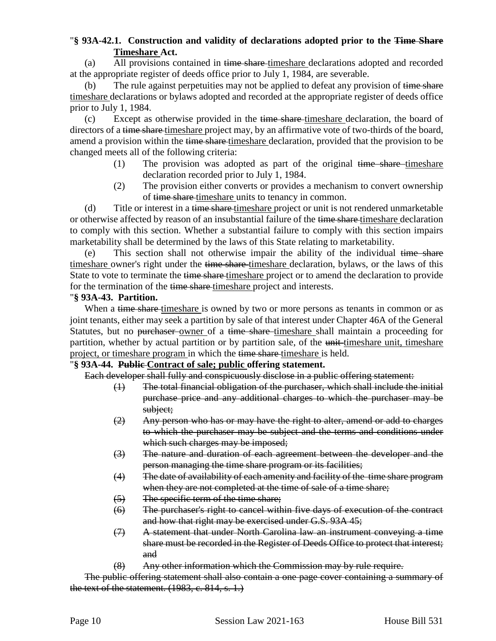## "**§ 93A-42.1. Construction and validity of declarations adopted prior to the Time Share Timeshare Act.**

(a) All provisions contained in time share-timeshare declarations adopted and recorded at the appropriate register of deeds office prior to July 1, 1984, are severable.

(b) The rule against perpetuities may not be applied to defeat any provision of time share timeshare declarations or bylaws adopted and recorded at the appropriate register of deeds office prior to July 1, 1984.

(c) Except as otherwise provided in the time share-timeshare declaration, the board of directors of a time share timeshare project may, by an affirmative vote of two-thirds of the board, amend a provision within the time share timeshare declaration, provided that the provision to be changed meets all of the following criteria:

- (1) The provision was adopted as part of the original  $time share-time share$ declaration recorded prior to July 1, 1984.
- (2) The provision either converts or provides a mechanism to convert ownership of time share timeshare units to tenancy in common.

(d) Title or interest in a time share-timeshare project or unit is not rendered unmarketable or otherwise affected by reason of an insubstantial failure of the time share-timeshare declaration to comply with this section. Whether a substantial failure to comply with this section impairs marketability shall be determined by the laws of this State relating to marketability.

(e) This section shall not otherwise impair the ability of the individual time share timeshare owner's right under the time share-timeshare declaration, bylaws, or the laws of this State to vote to terminate the time share-timeshare project or to amend the declaration to provide for the termination of the time share timeshare project and interests.

### "**§ 93A-43. Partition.**

When a time share-timeshare is owned by two or more persons as tenants in common or as joint tenants, either may seek a partition by sale of that interest under Chapter 46A of the General Statutes, but no purchaser owner of a time share timeshare shall maintain a proceeding for partition, whether by actual partition or by partition sale, of the unit-timeshare unit, timeshare project, or timeshare program in which the time share timeshare is held.

#### "**§ 93A-44. Public Contract of sale; public offering statement.**

Each developer shall fully and conspicuously disclose in a public offering statement:

- (1) The total financial obligation of the purchaser, which shall include the initial purchase price and any additional charges to which the purchaser may be subject;
- $\left(2\right)$  Any person who has or may have the right to alter, amend or add to charges to which the purchaser may be subject and the terms and conditions under which such charges may be imposed;
- (3) The nature and duration of each agreement between the developer and the person managing the time share program or its facilities;
- (4) The date of availability of each amenity and facility of the time share program when they are not completed at the time of sale of a time share;
- (5) The specific term of the time share;
- (6) The purchaser's right to cancel within five days of execution of the contract and how that right may be exercised under G.S. 93A 45;
- (7) A statement that under North Carolina law an instrument conveying a time share must be recorded in the Register of Deeds Office to protect that interest; and
- (8) Any other information which the Commission may by rule require.

The public offering statement shall also contain a one page cover containing a summary of the text of the statement.  $(1983, c. 814, s. 1.)$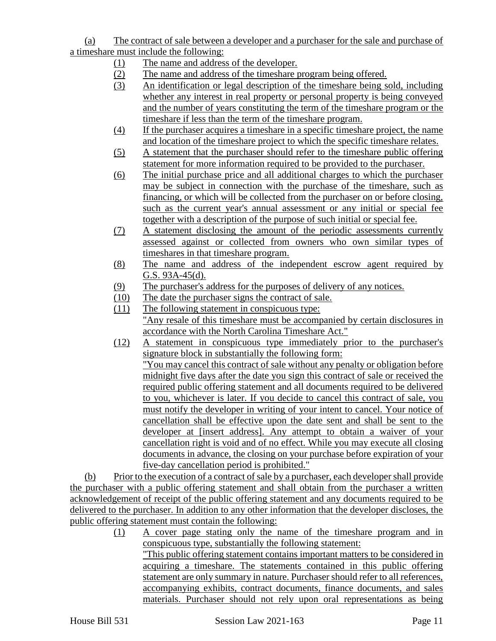(a) The contract of sale between a developer and a purchaser for the sale and purchase of a timeshare must include the following:

- (1) The name and address of the developer.
- (2) The name and address of the timeshare program being offered.
- (3) An identification or legal description of the timeshare being sold, including whether any interest in real property or personal property is being conveyed and the number of years constituting the term of the timeshare program or the timeshare if less than the term of the timeshare program.
- (4) If the purchaser acquires a timeshare in a specific timeshare project, the name and location of the timeshare project to which the specific timeshare relates.
- (5) A statement that the purchaser should refer to the timeshare public offering statement for more information required to be provided to the purchaser.
- (6) The initial purchase price and all additional charges to which the purchaser may be subject in connection with the purchase of the timeshare, such as financing, or which will be collected from the purchaser on or before closing, such as the current year's annual assessment or any initial or special fee together with a description of the purpose of such initial or special fee.
- (7) A statement disclosing the amount of the periodic assessments currently assessed against or collected from owners who own similar types of timeshares in that timeshare program.
- (8) The name and address of the independent escrow agent required by G.S. 93A-45(d).
- (9) The purchaser's address for the purposes of delivery of any notices.
- (10) The date the purchaser signs the contract of sale.
- (11) The following statement in conspicuous type: "Any resale of this timeshare must be accompanied by certain disclosures in accordance with the North Carolina Timeshare Act."
- (12) A statement in conspicuous type immediately prior to the purchaser's signature block in substantially the following form: "You may cancel this contract of sale without any penalty or obligation before midnight five days after the date you sign this contract of sale or received the required public offering statement and all documents required to be delivered to you, whichever is later. If you decide to cancel this contract of sale, you must notify the developer in writing of your intent to cancel. Your notice of cancellation shall be effective upon the date sent and shall be sent to the developer at [insert address]. Any attempt to obtain a waiver of your cancellation right is void and of no effect. While you may execute all closing documents in advance, the closing on your purchase before expiration of your five-day cancellation period is prohibited."

(b) Prior to the execution of a contract of sale by a purchaser, each developer shall provide the purchaser with a public offering statement and shall obtain from the purchaser a written acknowledgement of receipt of the public offering statement and any documents required to be delivered to the purchaser. In addition to any other information that the developer discloses, the public offering statement must contain the following:

(1) A cover page stating only the name of the timeshare program and in conspicuous type, substantially the following statement: "This public offering statement contains important matters to be considered in acquiring a timeshare. The statements contained in this public offering statement are only summary in nature. Purchaser should refer to all references, accompanying exhibits, contract documents, finance documents, and sales materials. Purchaser should not rely upon oral representations as being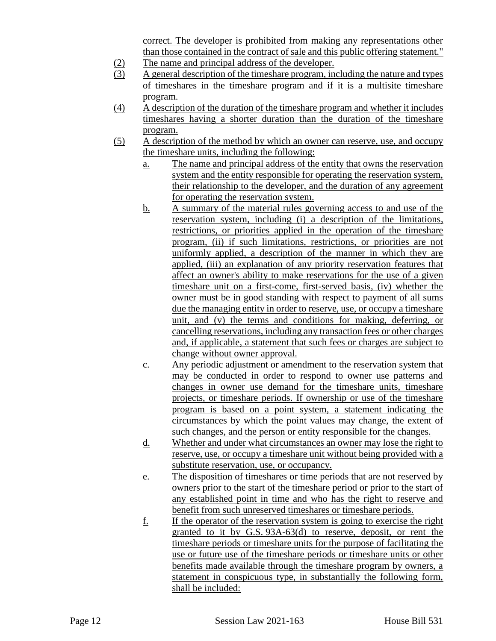correct. The developer is prohibited from making any representations other than those contained in the contract of sale and this public offering statement."

- (2) The name and principal address of the developer.
- (3) A general description of the timeshare program, including the nature and types of timeshares in the timeshare program and if it is a multisite timeshare program.
- (4) A description of the duration of the timeshare program and whether it includes timeshares having a shorter duration than the duration of the timeshare program.
- (5) A description of the method by which an owner can reserve, use, and occupy the timeshare units, including the following:
	- a. The name and principal address of the entity that owns the reservation system and the entity responsible for operating the reservation system, their relationship to the developer, and the duration of any agreement for operating the reservation system.
	- b. A summary of the material rules governing access to and use of the reservation system, including (i) a description of the limitations, restrictions, or priorities applied in the operation of the timeshare program, (ii) if such limitations, restrictions, or priorities are not uniformly applied, a description of the manner in which they are applied, (iii) an explanation of any priority reservation features that affect an owner's ability to make reservations for the use of a given timeshare unit on a first-come, first-served basis, (iv) whether the owner must be in good standing with respect to payment of all sums due the managing entity in order to reserve, use, or occupy a timeshare unit, and (v) the terms and conditions for making, deferring, or cancelling reservations, including any transaction fees or other charges and, if applicable, a statement that such fees or charges are subject to change without owner approval.
	- c. Any periodic adjustment or amendment to the reservation system that may be conducted in order to respond to owner use patterns and changes in owner use demand for the timeshare units, timeshare projects, or timeshare periods. If ownership or use of the timeshare program is based on a point system, a statement indicating the circumstances by which the point values may change, the extent of such changes, and the person or entity responsible for the changes.
	- d. Whether and under what circumstances an owner may lose the right to reserve, use, or occupy a timeshare unit without being provided with a substitute reservation, use, or occupancy.
	- e. The disposition of timeshares or time periods that are not reserved by owners prior to the start of the timeshare period or prior to the start of any established point in time and who has the right to reserve and benefit from such unreserved timeshares or timeshare periods.
	- f. If the operator of the reservation system is going to exercise the right granted to it by G.S. 93A-63(d) to reserve, deposit, or rent the timeshare periods or timeshare units for the purpose of facilitating the use or future use of the timeshare periods or timeshare units or other benefits made available through the timeshare program by owners, a statement in conspicuous type, in substantially the following form, shall be included: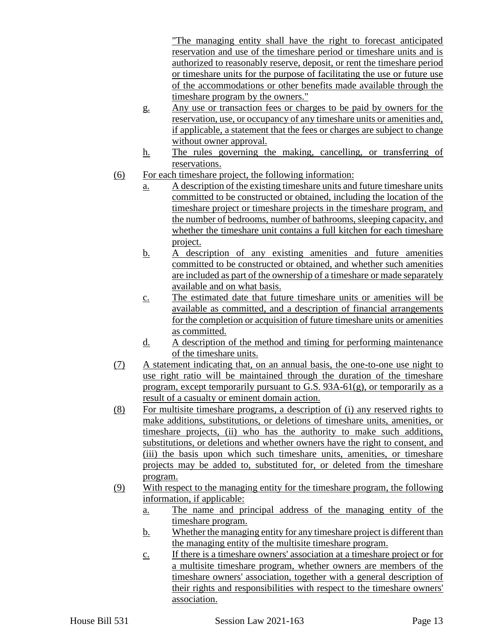"The managing entity shall have the right to forecast anticipated reservation and use of the timeshare period or timeshare units and is authorized to reasonably reserve, deposit, or rent the timeshare period or timeshare units for the purpose of facilitating the use or future use of the accommodations or other benefits made available through the timeshare program by the owners."

- g. Any use or transaction fees or charges to be paid by owners for the reservation, use, or occupancy of any timeshare units or amenities and, if applicable, a statement that the fees or charges are subject to change without owner approval.
- h. The rules governing the making, cancelling, or transferring of reservations.
- (6) For each timeshare project, the following information:
	- a. A description of the existing timeshare units and future timeshare units committed to be constructed or obtained, including the location of the timeshare project or timeshare projects in the timeshare program, and the number of bedrooms, number of bathrooms, sleeping capacity, and whether the timeshare unit contains a full kitchen for each timeshare project.
	- b. A description of any existing amenities and future amenities committed to be constructed or obtained, and whether such amenities are included as part of the ownership of a timeshare or made separately available and on what basis.
	- c. The estimated date that future timeshare units or amenities will be available as committed, and a description of financial arrangements for the completion or acquisition of future timeshare units or amenities as committed.
	- d. A description of the method and timing for performing maintenance of the timeshare units.
- (7) A statement indicating that, on an annual basis, the one-to-one use night to use right ratio will be maintained through the duration of the timeshare program, except temporarily pursuant to G.S. 93A-61(g), or temporarily as a result of a casualty or eminent domain action.
- (8) For multisite timeshare programs, a description of (i) any reserved rights to make additions, substitutions, or deletions of timeshare units, amenities, or timeshare projects, (ii) who has the authority to make such additions, substitutions, or deletions and whether owners have the right to consent, and (iii) the basis upon which such timeshare units, amenities, or timeshare projects may be added to, substituted for, or deleted from the timeshare program.
- (9) With respect to the managing entity for the timeshare program, the following information, if applicable:
	- a. The name and principal address of the managing entity of the timeshare program.
	- b. Whether the managing entity for any timeshare project is different than the managing entity of the multisite timeshare program.
	- c. If there is a timeshare owners' association at a timeshare project or for a multisite timeshare program, whether owners are members of the timeshare owners' association, together with a general description of their rights and responsibilities with respect to the timeshare owners' association.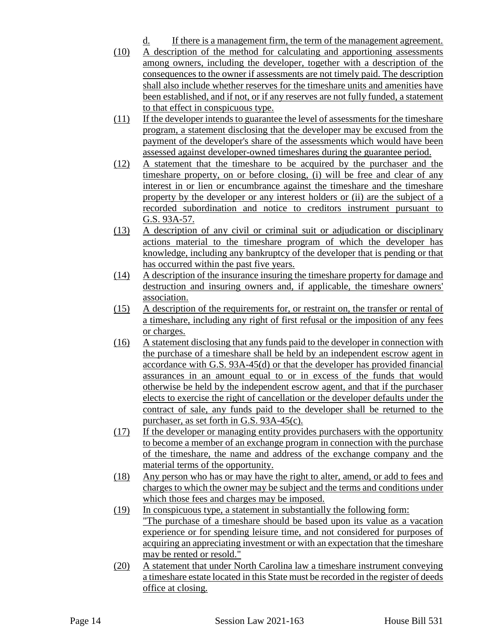- d. If there is a management firm, the term of the management agreement.
- (10) A description of the method for calculating and apportioning assessments among owners, including the developer, together with a description of the consequences to the owner if assessments are not timely paid. The description shall also include whether reserves for the timeshare units and amenities have been established, and if not, or if any reserves are not fully funded, a statement to that effect in conspicuous type.
- (11) If the developer intends to guarantee the level of assessments for the timeshare program, a statement disclosing that the developer may be excused from the payment of the developer's share of the assessments which would have been assessed against developer-owned timeshares during the guarantee period.
- (12) A statement that the timeshare to be acquired by the purchaser and the timeshare property, on or before closing, (i) will be free and clear of any interest in or lien or encumbrance against the timeshare and the timeshare property by the developer or any interest holders or (ii) are the subject of a recorded subordination and notice to creditors instrument pursuant to G.S. 93A-57.
- (13) A description of any civil or criminal suit or adjudication or disciplinary actions material to the timeshare program of which the developer has knowledge, including any bankruptcy of the developer that is pending or that has occurred within the past five years.
- (14) A description of the insurance insuring the timeshare property for damage and destruction and insuring owners and, if applicable, the timeshare owners' association.
- (15) A description of the requirements for, or restraint on, the transfer or rental of a timeshare, including any right of first refusal or the imposition of any fees or charges.
- (16) A statement disclosing that any funds paid to the developer in connection with the purchase of a timeshare shall be held by an independent escrow agent in accordance with G.S. 93A-45(d) or that the developer has provided financial assurances in an amount equal to or in excess of the funds that would otherwise be held by the independent escrow agent, and that if the purchaser elects to exercise the right of cancellation or the developer defaults under the contract of sale, any funds paid to the developer shall be returned to the purchaser, as set forth in G.S. 93A-45(c).
- (17) If the developer or managing entity provides purchasers with the opportunity to become a member of an exchange program in connection with the purchase of the timeshare, the name and address of the exchange company and the material terms of the opportunity.
- (18) Any person who has or may have the right to alter, amend, or add to fees and charges to which the owner may be subject and the terms and conditions under which those fees and charges may be imposed.
- (19) In conspicuous type, a statement in substantially the following form: "The purchase of a timeshare should be based upon its value as a vacation experience or for spending leisure time, and not considered for purposes of acquiring an appreciating investment or with an expectation that the timeshare may be rented or resold."
- (20) A statement that under North Carolina law a timeshare instrument conveying a timeshare estate located in this State must be recorded in the register of deeds office at closing.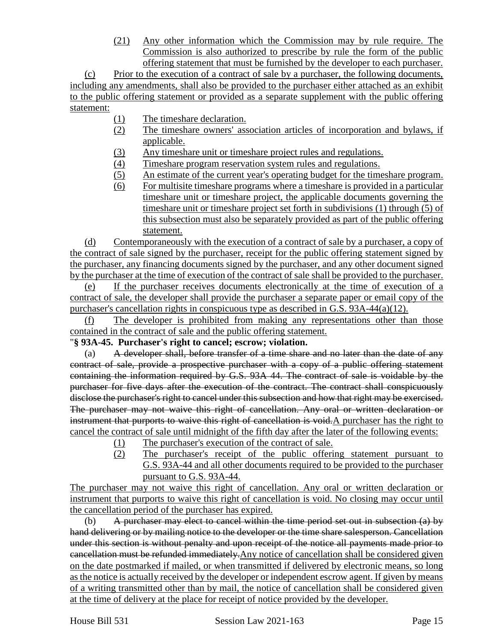(21) Any other information which the Commission may by rule require. The Commission is also authorized to prescribe by rule the form of the public offering statement that must be furnished by the developer to each purchaser.

(c) Prior to the execution of a contract of sale by a purchaser, the following documents, including any amendments, shall also be provided to the purchaser either attached as an exhibit to the public offering statement or provided as a separate supplement with the public offering statement:

- (1) The timeshare declaration.
- (2) The timeshare owners' association articles of incorporation and bylaws, if applicable.
- (3) Any timeshare unit or timeshare project rules and regulations.
- (4) Timeshare program reservation system rules and regulations.
- (5) An estimate of the current year's operating budget for the timeshare program.
- (6) For multisite timeshare programs where a timeshare is provided in a particular timeshare unit or timeshare project, the applicable documents governing the timeshare unit or timeshare project set forth in subdivisions (1) through (5) of this subsection must also be separately provided as part of the public offering statement.

(d) Contemporaneously with the execution of a contract of sale by a purchaser, a copy of the contract of sale signed by the purchaser, receipt for the public offering statement signed by the purchaser, any financing documents signed by the purchaser, and any other document signed by the purchaser at the time of execution of the contract of sale shall be provided to the purchaser.

(e) If the purchaser receives documents electronically at the time of execution of a contract of sale, the developer shall provide the purchaser a separate paper or email copy of the purchaser's cancellation rights in conspicuous type as described in G.S. 93A-44(a)(12).

(f) The developer is prohibited from making any representations other than those contained in the contract of sale and the public offering statement.

## "**§ 93A-45. Purchaser's right to cancel; escrow; violation.**

(a) A developer shall, before transfer of a time share and no later than the date of any contract of sale, provide a prospective purchaser with a copy of a public offering statement containing the information required by G.S. 93A 44. The contract of sale is voidable by the purchaser for five days after the execution of the contract. The contract shall conspicuously disclose the purchaser's right to cancel under this subsection and how that right may be exercised. The purchaser may not waive this right of cancellation. Any oral or written declaration or instrument that purports to waive this right of cancellation is void.A purchaser has the right to cancel the contract of sale until midnight of the fifth day after the later of the following events:

- (1) The purchaser's execution of the contract of sale.
- (2) The purchaser's receipt of the public offering statement pursuant to G.S. 93A-44 and all other documents required to be provided to the purchaser pursuant to G.S. 93A-44.

The purchaser may not waive this right of cancellation. Any oral or written declaration or instrument that purports to waive this right of cancellation is void. No closing may occur until the cancellation period of the purchaser has expired.

(b) A purchaser may elect to cancel within the time period set out in subsection  $(a)$  by hand delivering or by mailing notice to the developer or the time share salesperson. Cancellation under this section is without penalty and upon receipt of the notice all payments made prior to cancellation must be refunded immediately.Any notice of cancellation shall be considered given on the date postmarked if mailed, or when transmitted if delivered by electronic means, so long as the notice is actually received by the developer or independent escrow agent. If given by means of a writing transmitted other than by mail, the notice of cancellation shall be considered given at the time of delivery at the place for receipt of notice provided by the developer.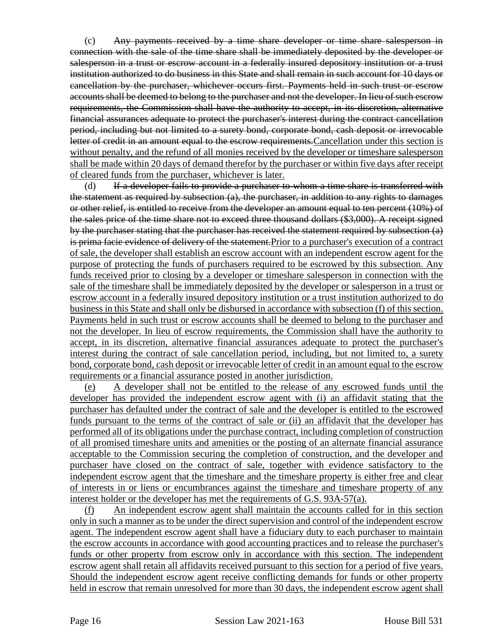(c) Any payments received by a time share developer or time share salesperson in connection with the sale of the time share shall be immediately deposited by the developer or salesperson in a trust or escrow account in a federally insured depository institution or a trust institution authorized to do business in this State and shall remain in such account for 10 days or cancellation by the purchaser, whichever occurs first. Payments held in such trust or escrow accounts shall be deemed to belong to the purchaser and not the developer. In lieu of such escrow requirements, the Commission shall have the authority to accept, in its discretion, alternative financial assurances adequate to protect the purchaser's interest during the contract cancellation period, including but not limited to a surety bond, corporate bond, cash deposit or irrevocable letter of credit in an amount equal to the escrow requirements. Cancellation under this section is without penalty, and the refund of all monies received by the developer or timeshare salesperson shall be made within 20 days of demand therefor by the purchaser or within five days after receipt of cleared funds from the purchaser, whichever is later.

(d) If a developer fails to provide a purchaser to whom a time share is transferred with the statement as required by subsection  $(a)$ , the purchaser, in addition to any rights to damages or other relief, is entitled to receive from the developer an amount equal to ten percent (10%) of the sales price of the time share not to exceed three thousand dollars (\$3,000). A receipt signed by the purchaser stating that the purchaser has received the statement required by subsection (a) is prima facie evidence of delivery of the statement.Prior to a purchaser's execution of a contract of sale, the developer shall establish an escrow account with an independent escrow agent for the purpose of protecting the funds of purchasers required to be escrowed by this subsection. Any funds received prior to closing by a developer or timeshare salesperson in connection with the sale of the timeshare shall be immediately deposited by the developer or salesperson in a trust or escrow account in a federally insured depository institution or a trust institution authorized to do business in this State and shall only be disbursed in accordance with subsection (f) of this section. Payments held in such trust or escrow accounts shall be deemed to belong to the purchaser and not the developer. In lieu of escrow requirements, the Commission shall have the authority to accept, in its discretion, alternative financial assurances adequate to protect the purchaser's interest during the contract of sale cancellation period, including, but not limited to, a surety bond, corporate bond, cash deposit or irrevocable letter of credit in an amount equal to the escrow requirements or a financial assurance posted in another jurisdiction.

A developer shall not be entitled to the release of any escrowed funds until the developer has provided the independent escrow agent with (i) an affidavit stating that the purchaser has defaulted under the contract of sale and the developer is entitled to the escrowed funds pursuant to the terms of the contract of sale or (ii) an affidavit that the developer has performed all of its obligations under the purchase contract, including completion of construction of all promised timeshare units and amenities or the posting of an alternate financial assurance acceptable to the Commission securing the completion of construction, and the developer and purchaser have closed on the contract of sale, together with evidence satisfactory to the independent escrow agent that the timeshare and the timeshare property is either free and clear of interests in or liens or encumbrances against the timeshare and timeshare property of any interest holder or the developer has met the requirements of G.S. 93A-57(a).

(f) An independent escrow agent shall maintain the accounts called for in this section only in such a manner as to be under the direct supervision and control of the independent escrow agent. The independent escrow agent shall have a fiduciary duty to each purchaser to maintain the escrow accounts in accordance with good accounting practices and to release the purchaser's funds or other property from escrow only in accordance with this section. The independent escrow agent shall retain all affidavits received pursuant to this section for a period of five years. Should the independent escrow agent receive conflicting demands for funds or other property held in escrow that remain unresolved for more than 30 days, the independent escrow agent shall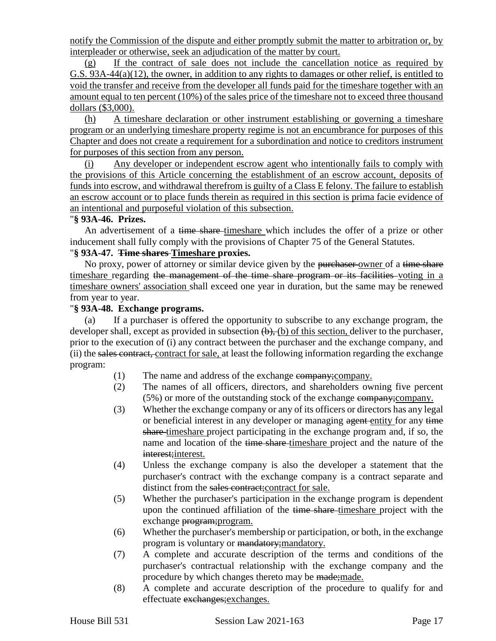notify the Commission of the dispute and either promptly submit the matter to arbitration or, by interpleader or otherwise, seek an adjudication of the matter by court.

(g) If the contract of sale does not include the cancellation notice as required by G.S. 93A-44(a)(12), the owner, in addition to any rights to damages or other relief, is entitled to void the transfer and receive from the developer all funds paid for the timeshare together with an amount equal to ten percent (10%) of the sales price of the timeshare not to exceed three thousand dollars (\$3,000).

(h) A timeshare declaration or other instrument establishing or governing a timeshare program or an underlying timeshare property regime is not an encumbrance for purposes of this Chapter and does not create a requirement for a subordination and notice to creditors instrument for purposes of this section from any person.

(i) Any developer or independent escrow agent who intentionally fails to comply with the provisions of this Article concerning the establishment of an escrow account, deposits of funds into escrow, and withdrawal therefrom is guilty of a Class E felony. The failure to establish an escrow account or to place funds therein as required in this section is prima facie evidence of an intentional and purposeful violation of this subsection.

#### "**§ 93A-46. Prizes.**

An advertisement of a time share-timeshare which includes the offer of a prize or other inducement shall fully comply with the provisions of Chapter 75 of the General Statutes.

#### "**§ 93A-47. Time shares Timeshare proxies.**

No proxy, power of attorney or similar device given by the purchaser-owner of a time share timeshare regarding the management of the time share program or its facilities voting in a timeshare owners' association shall exceed one year in duration, but the same may be renewed from year to year.

#### "**§ 93A-48. Exchange programs.**

(a) If a purchaser is offered the opportunity to subscribe to any exchange program, the developer shall, except as provided in subsection  $(\theta)$ ,  $(\theta)$  of this section, deliver to the purchaser, prior to the execution of (i) any contract between the purchaser and the exchange company, and (ii) the sales contract, contract for sale, at least the following information regarding the exchange program:

- (1) The name and address of the exchange company;company.
- (2) The names of all officers, directors, and shareholders owning five percent (5%) or more of the outstanding stock of the exchange company;company.
- (3) Whether the exchange company or any of its officers or directors has any legal or beneficial interest in any developer or managing agent entity for any time share timeshare project participating in the exchange program and, if so, the name and location of the time share-timeshare project and the nature of the interest; interest.
- (4) Unless the exchange company is also the developer a statement that the purchaser's contract with the exchange company is a contract separate and distinct from the sales contract; contract for sale.
- (5) Whether the purchaser's participation in the exchange program is dependent upon the continued affiliation of the time share-timeshare project with the exchange program;program.
- (6) Whether the purchaser's membership or participation, or both, in the exchange program is voluntary or mandatory; mandatory.
- (7) A complete and accurate description of the terms and conditions of the purchaser's contractual relationship with the exchange company and the procedure by which changes thereto may be made; made.
- (8) A complete and accurate description of the procedure to qualify for and effectuate exchanges;exchanges.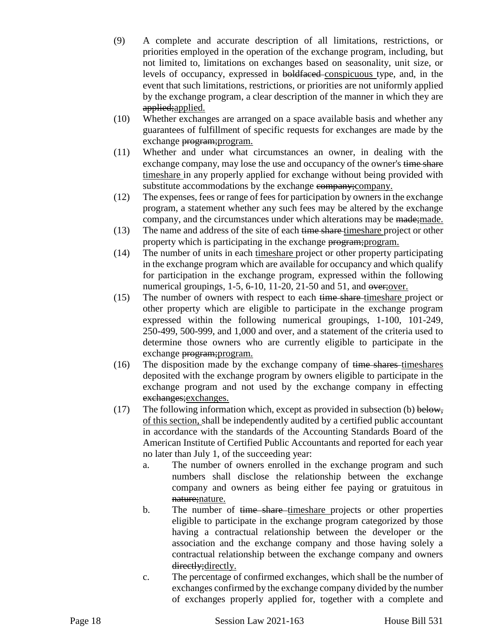- (9) A complete and accurate description of all limitations, restrictions, or priorities employed in the operation of the exchange program, including, but not limited to, limitations on exchanges based on seasonality, unit size, or levels of occupancy, expressed in boldfaced conspicuous type, and, in the event that such limitations, restrictions, or priorities are not uniformly applied by the exchange program, a clear description of the manner in which they are applied; applied.
- (10) Whether exchanges are arranged on a space available basis and whether any guarantees of fulfillment of specific requests for exchanges are made by the exchange program; program.
- (11) Whether and under what circumstances an owner, in dealing with the exchange company, may lose the use and occupancy of the owner's time share timeshare in any properly applied for exchange without being provided with substitute accommodations by the exchange company; company.
- (12) The expenses, fees or range of fees for participation by owners in the exchange program, a statement whether any such fees may be altered by the exchange company, and the circumstances under which alterations may be made; made.
- (13) The name and address of the site of each time share timeshare project or other property which is participating in the exchange program;program.
- (14) The number of units in each timeshare project or other property participating in the exchange program which are available for occupancy and which qualify for participation in the exchange program, expressed within the following numerical groupings, 1-5, 6-10, 11-20, 21-50 and 51, and over;over.
- (15) The number of owners with respect to each time share-timeshare project or other property which are eligible to participate in the exchange program expressed within the following numerical groupings, 1-100, 101-249, 250-499, 500-999, and 1,000 and over, and a statement of the criteria used to determine those owners who are currently eligible to participate in the exchange program; program.
- (16) The disposition made by the exchange company of  $time$  shares timeshares deposited with the exchange program by owners eligible to participate in the exchange program and not used by the exchange company in effecting exchanges;exchanges.
- (17) The following information which, except as provided in subsection (b) below, of this section, shall be independently audited by a certified public accountant in accordance with the standards of the Accounting Standards Board of the American Institute of Certified Public Accountants and reported for each year no later than July 1, of the succeeding year:
	- a. The number of owners enrolled in the exchange program and such numbers shall disclose the relationship between the exchange company and owners as being either fee paying or gratuitous in nature; nature.
	- b. The number of time share-timeshare projects or other properties eligible to participate in the exchange program categorized by those having a contractual relationship between the developer or the association and the exchange company and those having solely a contractual relationship between the exchange company and owners directly; directly.
	- c. The percentage of confirmed exchanges, which shall be the number of exchanges confirmed by the exchange company divided by the number of exchanges properly applied for, together with a complete and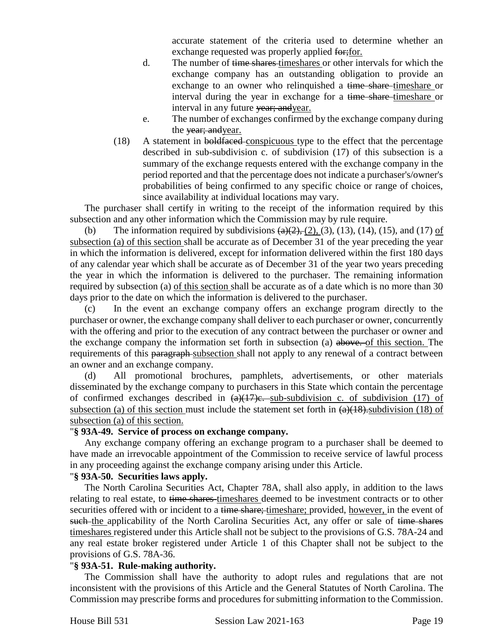accurate statement of the criteria used to determine whether an exchange requested was properly applied for; for.

- d. The number of time shares timeshares or other intervals for which the exchange company has an outstanding obligation to provide an exchange to an owner who relinquished a time share-timeshare or interval during the year in exchange for a time share-timeshare or interval in any future vear; and year.
- e. The number of exchanges confirmed by the exchange company during the vear; and year.
- (18) A statement in boldfaced conspicuous type to the effect that the percentage described in sub-subdivision c. of subdivision (17) of this subsection is a summary of the exchange requests entered with the exchange company in the period reported and that the percentage does not indicate a purchaser's/owner's probabilities of being confirmed to any specific choice or range of choices, since availability at individual locations may vary.

The purchaser shall certify in writing to the receipt of the information required by this subsection and any other information which the Commission may by rule require.

(b) The information required by subdivisions  $\left(\frac{a}{2}, \frac{b}{2}, \frac{c}{2}\right)$ , (3), (13), (14), (15), and (17) of subsection (a) of this section shall be accurate as of December 31 of the year preceding the year in which the information is delivered, except for information delivered within the first 180 days of any calendar year which shall be accurate as of December 31 of the year two years preceding the year in which the information is delivered to the purchaser. The remaining information required by subsection (a) of this section shall be accurate as of a date which is no more than 30 days prior to the date on which the information is delivered to the purchaser.

(c) In the event an exchange company offers an exchange program directly to the purchaser or owner, the exchange company shall deliver to each purchaser or owner, concurrently with the offering and prior to the execution of any contract between the purchaser or owner and the exchange company the information set forth in subsection (a) above. of this section. The requirements of this paragraph-subsection shall not apply to any renewal of a contract between an owner and an exchange company.

(d) All promotional brochures, pamphlets, advertisements, or other materials disseminated by the exchange company to purchasers in this State which contain the percentage of confirmed exchanges described in  $(a)(17)e$ . sub-subdivision c. of subdivision (17) of subsection (a) of this section must include the statement set forth in  $(a)(18)$ . subdivision (18) of subsection (a) of this section.

#### "**§ 93A-49. Service of process on exchange company.**

Any exchange company offering an exchange program to a purchaser shall be deemed to have made an irrevocable appointment of the Commission to receive service of lawful process in any proceeding against the exchange company arising under this Article.

#### "**§ 93A-50. Securities laws apply.**

The North Carolina Securities Act, Chapter 78A, shall also apply, in addition to the laws relating to real estate, to time shares-timeshares deemed to be investment contracts or to other securities offered with or incident to a time share; timeshare; provided, however, in the event of such the applicability of the North Carolina Securities Act, any offer or sale of time shares timeshares registered under this Article shall not be subject to the provisions of G.S. 78A-24 and any real estate broker registered under Article 1 of this Chapter shall not be subject to the provisions of G.S. 78A-36.

### "**§ 93A-51. Rule-making authority.**

The Commission shall have the authority to adopt rules and regulations that are not inconsistent with the provisions of this Article and the General Statutes of North Carolina. The Commission may prescribe forms and procedures for submitting information to the Commission.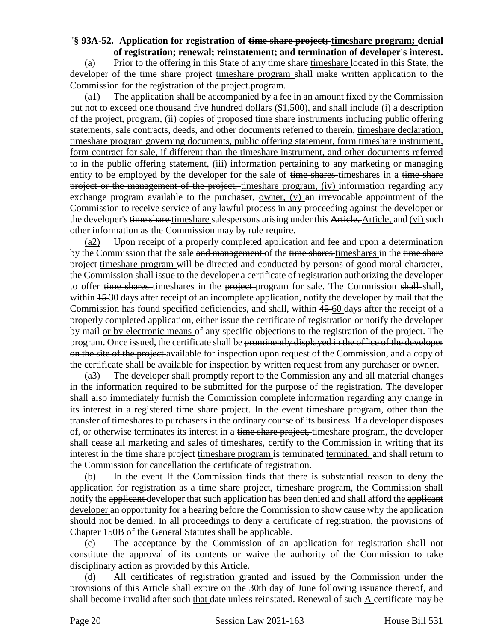# "**§ 93A-52. Application for registration of time share project; timeshare program; denial**

**of registration; renewal; reinstatement; and termination of developer's interest.** (a) Prior to the offering in this State of any time share timeshare located in this State, the developer of the time share project-timeshare program shall make written application to the Commission for the registration of the project.program.

(a1) The application shall be accompanied by a fee in an amount fixed by the Commission but not to exceed one thousand five hundred dollars (\$1,500), and shall include (i) a description of the project, program, (ii) copies of proposed time share instruments including public offering statements, sale contracts, deeds, and other documents referred to therein, timeshare declaration, timeshare program governing documents, public offering statement, form timeshare instrument, form contract for sale, if different than the timeshare instrument, and other documents referred to in the public offering statement, (iii) information pertaining to any marketing or managing entity to be employed by the developer for the sale of time shares-timeshares in a time share project or the management of the project, timeshare program, (iv) information regarding any exchange program available to the purchaser, owner,  $(v)$  an irrevocable appointment of the Commission to receive service of any lawful process in any proceeding against the developer or the developer's time share timeshare salespersons arising under this Article, Article, and (vi) such other information as the Commission may by rule require.

(a2) Upon receipt of a properly completed application and fee and upon a determination by the Commission that the sale and management of the time shares timeshares in the time share project timeshare program will be directed and conducted by persons of good moral character, the Commission shall issue to the developer a certificate of registration authorizing the developer to offer time shares timeshares in the project program for sale. The Commission shall shall, within  $15-30$  days after receipt of an incomplete application, notify the developer by mail that the Commission has found specified deficiencies, and shall, within 45 60 days after the receipt of a properly completed application, either issue the certificate of registration or notify the developer by mail or by electronic means of any specific objections to the registration of the project. The program. Once issued, the certificate shall be prominently displayed in the office of the developer on the site of the project.available for inspection upon request of the Commission, and a copy of the certificate shall be available for inspection by written request from any purchaser or owner.

(a3) The developer shall promptly report to the Commission any and all material changes in the information required to be submitted for the purpose of the registration. The developer shall also immediately furnish the Commission complete information regarding any change in its interest in a registered time share project. In the event timeshare program, other than the transfer of timeshares to purchasers in the ordinary course of its business. If a developer disposes of, or otherwise terminates its interest in a time share project, timeshare program, the developer shall cease all marketing and sales of timeshares, certify to the Commission in writing that its interest in the time share project timeshare program is terminated terminated, and shall return to the Commission for cancellation the certificate of registration.

(b) In the event If the Commission finds that there is substantial reason to deny the application for registration as a time share project, timeshare program, the Commission shall notify the applicant developer that such application has been denied and shall afford the applicant developer an opportunity for a hearing before the Commission to show cause why the application should not be denied. In all proceedings to deny a certificate of registration, the provisions of Chapter 150B of the General Statutes shall be applicable.

(c) The acceptance by the Commission of an application for registration shall not constitute the approval of its contents or waive the authority of the Commission to take disciplinary action as provided by this Article.

(d) All certificates of registration granted and issued by the Commission under the provisions of this Article shall expire on the 30th day of June following issuance thereof, and shall become invalid after such that date unless reinstated. Renewal of such A certificate may be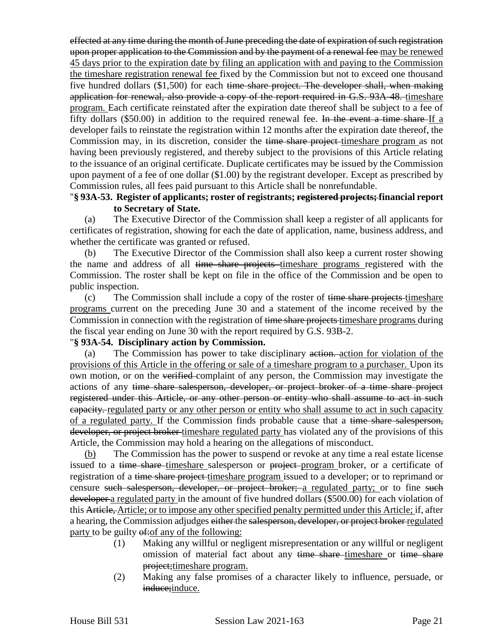effected at any time during the month of June preceding the date of expiration of such registration upon proper application to the Commission and by the payment of a renewal fee may be renewed 45 days prior to the expiration date by filing an application with and paying to the Commission the timeshare registration renewal fee fixed by the Commission but not to exceed one thousand five hundred dollars (\$1,500) for each time share project. The developer shall, when making application for renewal, also provide a copy of the report required in G.S. 93A-48. timeshare program. Each certificate reinstated after the expiration date thereof shall be subject to a fee of fifty dollars (\$50.00) in addition to the required renewal fee. In the event a time share If a developer fails to reinstate the registration within 12 months after the expiration date thereof, the Commission may, in its discretion, consider the time share project-timeshare program as not having been previously registered, and thereby subject to the provisions of this Article relating to the issuance of an original certificate. Duplicate certificates may be issued by the Commission upon payment of a fee of one dollar (\$1.00) by the registrant developer. Except as prescribed by Commission rules, all fees paid pursuant to this Article shall be nonrefundable.

#### "**§ 93A-53. Register of applicants; roster of registrants; registered projects; financial report to Secretary of State.**

(a) The Executive Director of the Commission shall keep a register of all applicants for certificates of registration, showing for each the date of application, name, business address, and whether the certificate was granted or refused.

(b) The Executive Director of the Commission shall also keep a current roster showing the name and address of all time share projects timeshare programs registered with the Commission. The roster shall be kept on file in the office of the Commission and be open to public inspection.

(c) The Commission shall include a copy of the roster of time share projects timeshare programs current on the preceding June 30 and a statement of the income received by the Commission in connection with the registration of time share projects timeshare programs during the fiscal year ending on June 30 with the report required by G.S. 93B-2.

#### "**§ 93A-54. Disciplinary action by Commission.**

(a) The Commission has power to take disciplinary action. action for violation of the provisions of this Article in the offering or sale of a timeshare program to a purchaser. Upon its own motion, or on the verified complaint of any person, the Commission may investigate the actions of any time share salesperson, developer, or project broker of a time share project registered under this Article, or any other person or entity who shall assume to act in such eapacity. regulated party or any other person or entity who shall assume to act in such capacity of a regulated party. If the Commission finds probable cause that a time share salesperson, developer, or project broker timeshare regulated party has violated any of the provisions of this Article, the Commission may hold a hearing on the allegations of misconduct.

(b) The Commission has the power to suspend or revoke at any time a real estate license issued to a time share-timeshare salesperson or project-program broker, or a certificate of registration of a time share project timeshare program issued to a developer; or to reprimand or censure such salesperson, developer, or project broker; a regulated party; or to fine such developer a regulated party in the amount of five hundred dollars (\$500.00) for each violation of this Article, Article; or to impose any other specified penalty permitted under this Article; if, after a hearing, the Commission adjudges either the salesperson, developer, or project broker regulated party to be guilty  $\theta$ : of any of the following:

- (1) Making any willful or negligent misrepresentation or any willful or negligent omission of material fact about any time share timeshare or time share project;timeshare program.
- (2) Making any false promises of a character likely to influence, persuade, or induce; induce.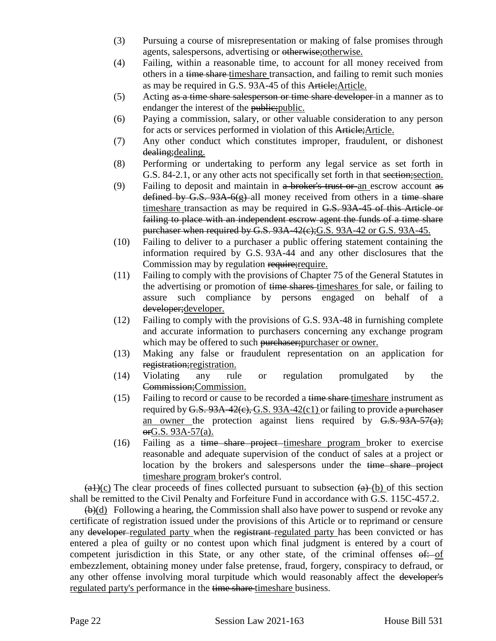- (3) Pursuing a course of misrepresentation or making of false promises through agents, salespersons, advertising or otherwise;otherwise.
- (4) Failing, within a reasonable time, to account for all money received from others in a time share timeshare transaction, and failing to remit such monies as may be required in G.S. 93A-45 of this Article;Article.
- (5) Acting as a time share salesperson or time share developer in a manner as to endanger the interest of the public; public.
- (6) Paying a commission, salary, or other valuable consideration to any person for acts or services performed in violation of this Article;Article.
- (7) Any other conduct which constitutes improper, fraudulent, or dishonest dealing;dealing.
- (8) Performing or undertaking to perform any legal service as set forth in G.S. 84-2.1, or any other acts not specifically set forth in that section;section.
- (9) Failing to deposit and maintain in  $a$  broker's trust or an escrow account as defined by G.S.  $93A-6(g)$ -all money received from others in a time share timeshare transaction as may be required in G.S. 93A-45 of this Article or failing to place with an independent escrow agent the funds of a time share purchaser when required by G.S. 93A-42(e); G.S. 93A-42 or G.S. 93A-45.
- (10) Failing to deliver to a purchaser a public offering statement containing the information required by G.S. 93A-44 and any other disclosures that the Commission may by regulation require; require.
- (11) Failing to comply with the provisions of Chapter 75 of the General Statutes in the advertising or promotion of time shares timeshares for sale, or failing to assure such compliance by persons engaged on behalf of a developer;developer.
- (12) Failing to comply with the provisions of G.S. 93A-48 in furnishing complete and accurate information to purchasers concerning any exchange program which may be offered to such purchaser; purchaser or owner.
- (13) Making any false or fraudulent representation on an application for registration;registration.
- (14) Violating any rule or regulation promulgated by the Commission;Commission.
- (15) Failing to record or cause to be recorded a time share timeshare instrument as required by  $G.S. 93A-42(c), G.S. 93A-42(c)$  or failing to provide a purchaser an owner the protection against liens required by  $G.S. 93A-57(a);$ orG.S. 93A-57(a).
- $(16)$  Failing as a time share project timeshare program broker to exercise reasonable and adequate supervision of the conduct of sales at a project or location by the brokers and salespersons under the time share project timeshare program broker's control.

 $\left(\frac{a+1}{c}\right)$  The clear proceeds of fines collected pursuant to subsection  $\left(\frac{a}{c}\right)$  of this section shall be remitted to the Civil Penalty and Forfeiture Fund in accordance with G.S. 115C-457.2.

 $(\theta)(d)$  Following a hearing, the Commission shall also have power to suspend or revoke any certificate of registration issued under the provisions of this Article or to reprimand or censure any developer-regulated party when the registrant-regulated party has been convicted or has entered a plea of guilty or no contest upon which final judgment is entered by a court of competent jurisdiction in this State, or any other state, of the criminal offenses  $\theta$ : of embezzlement, obtaining money under false pretense, fraud, forgery, conspiracy to defraud, or any other offense involving moral turpitude which would reasonably affect the developer's regulated party's performance in the time share timeshare business.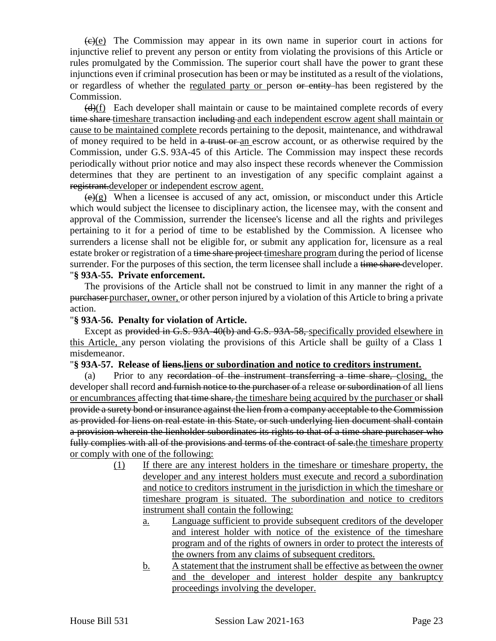$\left(\frac{f(x)}{g(x)}\right)$  The Commission may appear in its own name in superior court in actions for injunctive relief to prevent any person or entity from violating the provisions of this Article or rules promulgated by the Commission. The superior court shall have the power to grant these injunctions even if criminal prosecution has been or may be instituted as a result of the violations, or regardless of whether the regulated party or person or entity has been registered by the Commission.

 $(d)$ (f) Each developer shall maintain or cause to be maintained complete records of every time share timeshare transaction including and each independent escrow agent shall maintain or cause to be maintained complete records pertaining to the deposit, maintenance, and withdrawal of money required to be held in a trust or an escrow account, or as otherwise required by the Commission, under G.S. 93A-45 of this Article. The Commission may inspect these records periodically without prior notice and may also inspect these records whenever the Commission determines that they are pertinent to an investigation of any specific complaint against a registrant.developer or independent escrow agent.

 $(\epsilon)$ (g) When a licensee is accused of any act, omission, or misconduct under this Article which would subject the licensee to disciplinary action, the licensee may, with the consent and approval of the Commission, surrender the licensee's license and all the rights and privileges pertaining to it for a period of time to be established by the Commission. A licensee who surrenders a license shall not be eligible for, or submit any application for, licensure as a real estate broker or registration of a time share project times hare program during the period of license surrender. For the purposes of this section, the term licensee shall include a time share developer. "**§ 93A-55. Private enforcement.**

The provisions of the Article shall not be construed to limit in any manner the right of a purchaser purchaser, owner, or other person injured by a violation of this Article to bring a private action.

#### "**§ 93A-56. Penalty for violation of Article.**

Except as provided in G.S. 93A-40(b) and G.S. 93A-58, specifically provided elsewhere in this Article, any person violating the provisions of this Article shall be guilty of a Class 1 misdemeanor.

#### "**§ 93A-57. Release of liens.liens or subordination and notice to creditors instrument.**

(a) Prior to any recordation of the instrument transferring a time share, closing, the developer shall record and furnish notice to the purchaser of a release or subordination of all liens or encumbrances affecting that time share, the timeshare being acquired by the purchaser or shall provide a surety bond or insurance against the lien from a company acceptable to the Commission as provided for liens on real estate in this State, or such underlying lien document shall contain a provision wherein the lienholder subordinates its rights to that of a time share purchaser who fully complies with all of the provisions and terms of the contract of sale the timeshare property or comply with one of the following:

- (1) If there are any interest holders in the timeshare or timeshare property, the developer and any interest holders must execute and record a subordination and notice to creditors instrument in the jurisdiction in which the timeshare or timeshare program is situated. The subordination and notice to creditors instrument shall contain the following:
	- a. Language sufficient to provide subsequent creditors of the developer and interest holder with notice of the existence of the timeshare program and of the rights of owners in order to protect the interests of the owners from any claims of subsequent creditors.
	- b. A statement that the instrument shall be effective as between the owner and the developer and interest holder despite any bankruptcy proceedings involving the developer.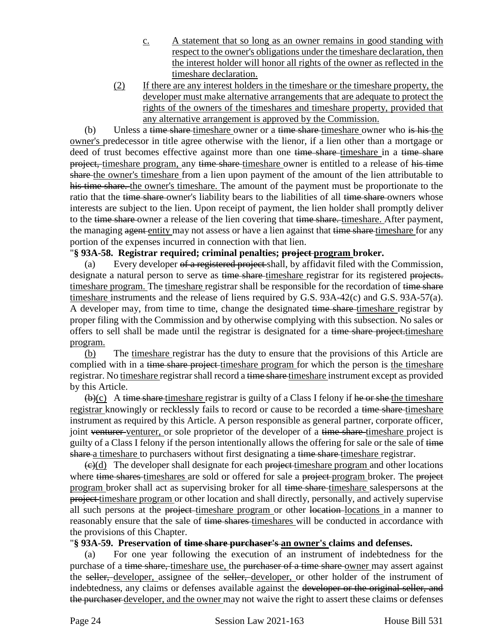- c. A statement that so long as an owner remains in good standing with respect to the owner's obligations under the timeshare declaration, then the interest holder will honor all rights of the owner as reflected in the timeshare declaration.
- (2) If there are any interest holders in the timeshare or the timeshare property, the developer must make alternative arrangements that are adequate to protect the rights of the owners of the timeshares and timeshare property, provided that any alternative arrangement is approved by the Commission.

(b) Unless a time share-timeshare owner or a time share-timeshare owner who is his the owner's predecessor in title agree otherwise with the lienor, if a lien other than a mortgage or deed of trust becomes effective against more than one time share-timeshare in a time share project, timeshare program, any time share-timeshare owner is entitled to a release of his time share the owner's timeshare from a lien upon payment of the amount of the lien attributable to his time share. the owner's timeshare. The amount of the payment must be proportionate to the ratio that the time share owner's liability bears to the liabilities of all time share owners whose interests are subject to the lien. Upon receipt of payment, the lien holder shall promptly deliver to the time share-owner a release of the lien covering that time share. timeshare. After payment, the managing agent entity may not assess or have a lien against that time share timeshare for any portion of the expenses incurred in connection with that lien.

### "**§ 93A-58. Registrar required; criminal penalties; project program broker.**

(a) Every developer of a registered project shall, by affidavit filed with the Commission, designate a natural person to serve as time share timeshare registrar for its registered projects. timeshare program. The timeshare registrar shall be responsible for the recordation of time share timeshare instruments and the release of liens required by G.S. 93A-42(c) and G.S. 93A-57(a). A developer may, from time to time, change the designated time share-timeshare registrar by proper filing with the Commission and by otherwise complying with this subsection. No sales or offers to sell shall be made until the registrar is designated for a time share project-timeshare program.

(b) The timeshare registrar has the duty to ensure that the provisions of this Article are complied with in a time share project timeshare program for which the person is the timeshare registrar. No timeshare registrar shall record a time share timeshare instrument except as provided by this Article.

 $\bigoplus$ (c) A time share timeshare registrar is guilty of a Class I felony if he or she the timeshare registrar knowingly or recklessly fails to record or cause to be recorded a time share timeshare instrument as required by this Article. A person responsible as general partner, corporate officer, joint venturer venturer, or sole proprietor of the developer of a time share-timeshare project is guilty of a Class I felony if the person intentionally allows the offering for sale or the sale of time share a timeshare to purchasers without first designating a time share timeshare registrar.

 $\left(\frac{e}{c}\right)$  The developer shall designate for each project-timeshare program and other locations where time shares timeshares are sold or offered for sale a project program broker. The project program broker shall act as supervising broker for all time share timeshare salespersons at the project timeshare program or other location and shall directly, personally, and actively supervise all such persons at the project-timeshare program or other location-locations in a manner to reasonably ensure that the sale of time shares timeshares will be conducted in accordance with the provisions of this Chapter.

#### "**§ 93A-59. Preservation of time share purchaser's an owner's claims and defenses.**

(a) For one year following the execution of an instrument of indebtedness for the purchase of a time share, timeshare use, the purchaser of a time share owner may assert against the seller, developer, assignee of the seller, developer, or other holder of the instrument of indebtedness, any claims or defenses available against the developer or the original seller, and the purchaser developer, and the owner may not waive the right to assert these claims or defenses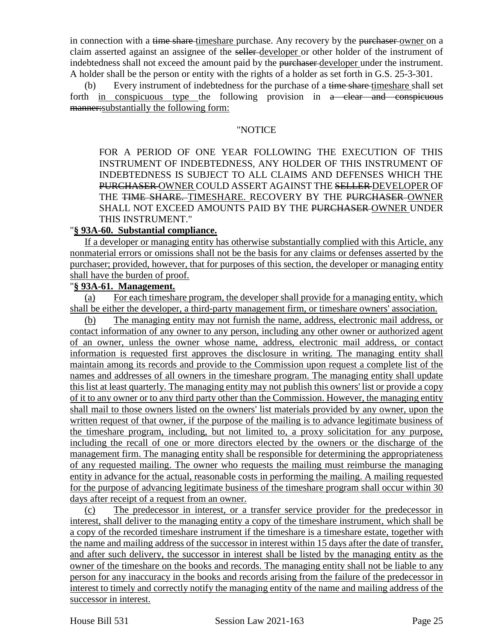in connection with a time share-timeshare purchase. Any recovery by the purchaser-owner on a claim asserted against an assignee of the seller developer or other holder of the instrument of indebtedness shall not exceed the amount paid by the purchaser developer under the instrument. A holder shall be the person or entity with the rights of a holder as set forth in G.S. 25-3-301.

(b) Every instrument of indebtedness for the purchase of a time share-timeshare shall set forth in conspicuous type the following provision in a clear and conspicuous manner:substantially the following form:

#### "NOTICE

FOR A PERIOD OF ONE YEAR FOLLOWING THE EXECUTION OF THIS INSTRUMENT OF INDEBTEDNESS, ANY HOLDER OF THIS INSTRUMENT OF INDEBTEDNESS IS SUBJECT TO ALL CLAIMS AND DEFENSES WHICH THE PURCHASER OWNER COULD ASSERT AGAINST THE SELLER DEVELOPER OF THE TIME SHARE. TIMESHARE. RECOVERY BY THE PURCHASER OWNER SHALL NOT EXCEED AMOUNTS PAID BY THE PURCHASER-OWNER UNDER THIS INSTRUMENT."

#### "**§ 93A-60. Substantial compliance.**

If a developer or managing entity has otherwise substantially complied with this Article, any nonmaterial errors or omissions shall not be the basis for any claims or defenses asserted by the purchaser; provided, however, that for purposes of this section, the developer or managing entity shall have the burden of proof.

## "**§ 93A-61. Management.**

(a) For each timeshare program, the developer shall provide for a managing entity, which shall be either the developer, a third-party management firm, or timeshare owners' association.

(b) The managing entity may not furnish the name, address, electronic mail address, or contact information of any owner to any person, including any other owner or authorized agent of an owner, unless the owner whose name, address, electronic mail address, or contact information is requested first approves the disclosure in writing. The managing entity shall maintain among its records and provide to the Commission upon request a complete list of the names and addresses of all owners in the timeshare program. The managing entity shall update this list at least quarterly. The managing entity may not publish this owners' list or provide a copy of it to any owner or to any third party other than the Commission. However, the managing entity shall mail to those owners listed on the owners' list materials provided by any owner, upon the written request of that owner, if the purpose of the mailing is to advance legitimate business of the timeshare program, including, but not limited to, a proxy solicitation for any purpose, including the recall of one or more directors elected by the owners or the discharge of the management firm. The managing entity shall be responsible for determining the appropriateness of any requested mailing. The owner who requests the mailing must reimburse the managing entity in advance for the actual, reasonable costs in performing the mailing. A mailing requested for the purpose of advancing legitimate business of the timeshare program shall occur within 30 days after receipt of a request from an owner.

(c) The predecessor in interest, or a transfer service provider for the predecessor in interest, shall deliver to the managing entity a copy of the timeshare instrument, which shall be a copy of the recorded timeshare instrument if the timeshare is a timeshare estate, together with the name and mailing address of the successor in interest within 15 days after the date of transfer, and after such delivery, the successor in interest shall be listed by the managing entity as the owner of the timeshare on the books and records. The managing entity shall not be liable to any person for any inaccuracy in the books and records arising from the failure of the predecessor in interest to timely and correctly notify the managing entity of the name and mailing address of the successor in interest.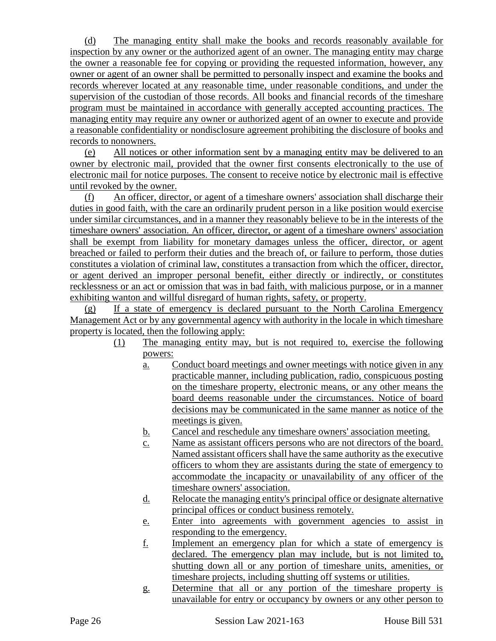(d) The managing entity shall make the books and records reasonably available for inspection by any owner or the authorized agent of an owner. The managing entity may charge the owner a reasonable fee for copying or providing the requested information, however, any owner or agent of an owner shall be permitted to personally inspect and examine the books and records wherever located at any reasonable time, under reasonable conditions, and under the supervision of the custodian of those records. All books and financial records of the timeshare program must be maintained in accordance with generally accepted accounting practices. The managing entity may require any owner or authorized agent of an owner to execute and provide a reasonable confidentiality or nondisclosure agreement prohibiting the disclosure of books and records to nonowners.

(e) All notices or other information sent by a managing entity may be delivered to an owner by electronic mail, provided that the owner first consents electronically to the use of electronic mail for notice purposes. The consent to receive notice by electronic mail is effective until revoked by the owner.

(f) An officer, director, or agent of a timeshare owners' association shall discharge their duties in good faith, with the care an ordinarily prudent person in a like position would exercise under similar circumstances, and in a manner they reasonably believe to be in the interests of the timeshare owners' association. An officer, director, or agent of a timeshare owners' association shall be exempt from liability for monetary damages unless the officer, director, or agent breached or failed to perform their duties and the breach of, or failure to perform, those duties constitutes a violation of criminal law, constitutes a transaction from which the officer, director, or agent derived an improper personal benefit, either directly or indirectly, or constitutes recklessness or an act or omission that was in bad faith, with malicious purpose, or in a manner exhibiting wanton and willful disregard of human rights, safety, or property.

(g) If a state of emergency is declared pursuant to the North Carolina Emergency Management Act or by any governmental agency with authority in the locale in which timeshare property is located, then the following apply:

- (1) The managing entity may, but is not required to, exercise the following powers:
	- a. Conduct board meetings and owner meetings with notice given in any practicable manner, including publication, radio, conspicuous posting on the timeshare property, electronic means, or any other means the board deems reasonable under the circumstances. Notice of board decisions may be communicated in the same manner as notice of the meetings is given.
	- b. Cancel and reschedule any timeshare owners' association meeting.
	- c. Name as assistant officers persons who are not directors of the board. Named assistant officers shall have the same authority as the executive officers to whom they are assistants during the state of emergency to accommodate the incapacity or unavailability of any officer of the timeshare owners' association.
	- d. Relocate the managing entity's principal office or designate alternative principal offices or conduct business remotely.
	- e. Enter into agreements with government agencies to assist in responding to the emergency.
	- f. Implement an emergency plan for which a state of emergency is declared. The emergency plan may include, but is not limited to, shutting down all or any portion of timeshare units, amenities, or timeshare projects, including shutting off systems or utilities.
	- g. Determine that all or any portion of the timeshare property is unavailable for entry or occupancy by owners or any other person to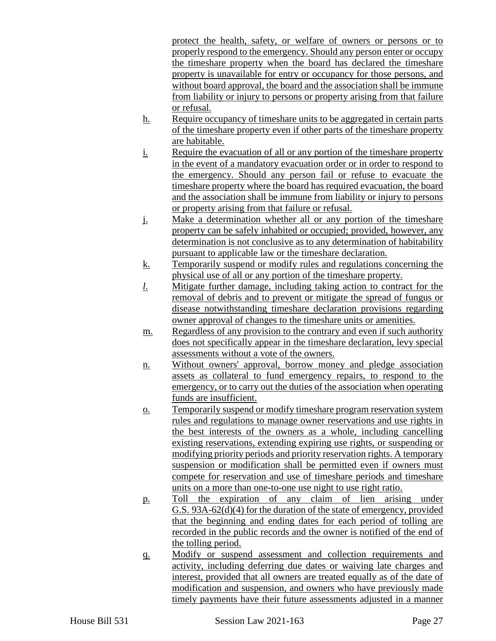protect the health, safety, or welfare of owners or persons or to properly respond to the emergency. Should any person enter or occupy the timeshare property when the board has declared the timeshare property is unavailable for entry or occupancy for those persons, and without board approval, the board and the association shall be immune from liability or injury to persons or property arising from that failure or refusal.

- h. Require occupancy of timeshare units to be aggregated in certain parts of the timeshare property even if other parts of the timeshare property are habitable.
- i. Require the evacuation of all or any portion of the timeshare property in the event of a mandatory evacuation order or in order to respond to the emergency. Should any person fail or refuse to evacuate the timeshare property where the board has required evacuation, the board and the association shall be immune from liability or injury to persons or property arising from that failure or refusal.
- j. Make a determination whether all or any portion of the timeshare property can be safely inhabited or occupied; provided, however, any determination is not conclusive as to any determination of habitability pursuant to applicable law or the timeshare declaration.
- k. Temporarily suspend or modify rules and regulations concerning the physical use of all or any portion of the timeshare property.
- *l*. Mitigate further damage, including taking action to contract for the removal of debris and to prevent or mitigate the spread of fungus or disease notwithstanding timeshare declaration provisions regarding owner approval of changes to the timeshare units or amenities.
- m. Regardless of any provision to the contrary and even if such authority does not specifically appear in the timeshare declaration, levy special assessments without a vote of the owners.
- n. Without owners' approval, borrow money and pledge association assets as collateral to fund emergency repairs, to respond to the emergency, or to carry out the duties of the association when operating funds are insufficient.
- o. Temporarily suspend or modify timeshare program reservation system rules and regulations to manage owner reservations and use rights in the best interests of the owners as a whole, including cancelling existing reservations, extending expiring use rights, or suspending or modifying priority periods and priority reservation rights. A temporary suspension or modification shall be permitted even if owners must compete for reservation and use of timeshare periods and timeshare units on a more than one-to-one use night to use right ratio.
- p. Toll the expiration of any claim of lien arising under G.S. 93A-62(d)(4) for the duration of the state of emergency, provided that the beginning and ending dates for each period of tolling are recorded in the public records and the owner is notified of the end of the tolling period.
- q. Modify or suspend assessment and collection requirements and activity, including deferring due dates or waiving late charges and interest, provided that all owners are treated equally as of the date of modification and suspension, and owners who have previously made timely payments have their future assessments adjusted in a manner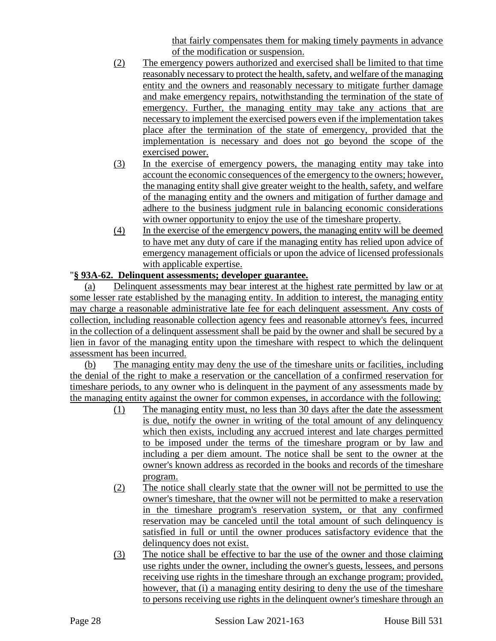that fairly compensates them for making timely payments in advance of the modification or suspension.

- (2) The emergency powers authorized and exercised shall be limited to that time reasonably necessary to protect the health, safety, and welfare of the managing entity and the owners and reasonably necessary to mitigate further damage and make emergency repairs, notwithstanding the termination of the state of emergency. Further, the managing entity may take any actions that are necessary to implement the exercised powers even if the implementation takes place after the termination of the state of emergency, provided that the implementation is necessary and does not go beyond the scope of the exercised power.
- (3) In the exercise of emergency powers, the managing entity may take into account the economic consequences of the emergency to the owners; however, the managing entity shall give greater weight to the health, safety, and welfare of the managing entity and the owners and mitigation of further damage and adhere to the business judgment rule in balancing economic considerations with owner opportunity to enjoy the use of the timeshare property.
- (4) In the exercise of the emergency powers, the managing entity will be deemed to have met any duty of care if the managing entity has relied upon advice of emergency management officials or upon the advice of licensed professionals with applicable expertise.

## "**§ 93A-62. Delinquent assessments; developer guarantee.**

(a) Delinquent assessments may bear interest at the highest rate permitted by law or at some lesser rate established by the managing entity. In addition to interest, the managing entity may charge a reasonable administrative late fee for each delinquent assessment. Any costs of collection, including reasonable collection agency fees and reasonable attorney's fees, incurred in the collection of a delinquent assessment shall be paid by the owner and shall be secured by a lien in favor of the managing entity upon the timeshare with respect to which the delinquent assessment has been incurred.

(b) The managing entity may deny the use of the timeshare units or facilities, including the denial of the right to make a reservation or the cancellation of a confirmed reservation for timeshare periods, to any owner who is delinquent in the payment of any assessments made by the managing entity against the owner for common expenses, in accordance with the following:

- (1) The managing entity must, no less than 30 days after the date the assessment is due, notify the owner in writing of the total amount of any delinquency which then exists, including any accrued interest and late charges permitted to be imposed under the terms of the timeshare program or by law and including a per diem amount. The notice shall be sent to the owner at the owner's known address as recorded in the books and records of the timeshare program.
- (2) The notice shall clearly state that the owner will not be permitted to use the owner's timeshare, that the owner will not be permitted to make a reservation in the timeshare program's reservation system, or that any confirmed reservation may be canceled until the total amount of such delinquency is satisfied in full or until the owner produces satisfactory evidence that the delinquency does not exist.
- (3) The notice shall be effective to bar the use of the owner and those claiming use rights under the owner, including the owner's guests, lessees, and persons receiving use rights in the timeshare through an exchange program; provided, however, that (i) a managing entity desiring to deny the use of the timeshare to persons receiving use rights in the delinquent owner's timeshare through an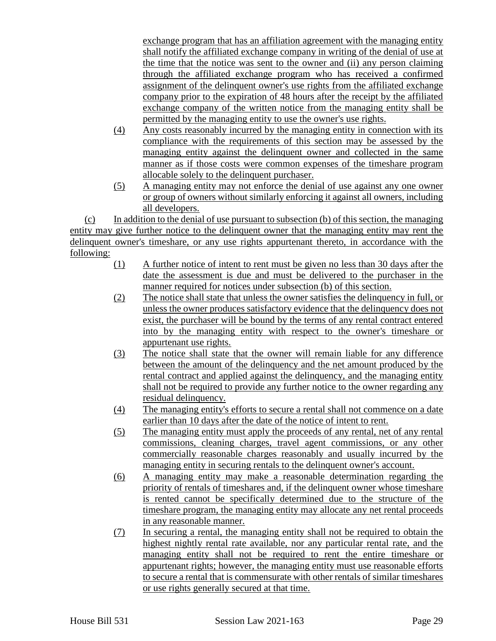exchange program that has an affiliation agreement with the managing entity shall notify the affiliated exchange company in writing of the denial of use at the time that the notice was sent to the owner and (ii) any person claiming through the affiliated exchange program who has received a confirmed assignment of the delinquent owner's use rights from the affiliated exchange company prior to the expiration of 48 hours after the receipt by the affiliated exchange company of the written notice from the managing entity shall be permitted by the managing entity to use the owner's use rights.

- (4) Any costs reasonably incurred by the managing entity in connection with its compliance with the requirements of this section may be assessed by the managing entity against the delinquent owner and collected in the same manner as if those costs were common expenses of the timeshare program allocable solely to the delinquent purchaser.
- (5) A managing entity may not enforce the denial of use against any one owner or group of owners without similarly enforcing it against all owners, including all developers.

(c) In addition to the denial of use pursuant to subsection (b) of this section, the managing entity may give further notice to the delinquent owner that the managing entity may rent the delinquent owner's timeshare, or any use rights appurtenant thereto, in accordance with the following:

- (1) A further notice of intent to rent must be given no less than 30 days after the date the assessment is due and must be delivered to the purchaser in the manner required for notices under subsection (b) of this section.
- (2) The notice shall state that unless the owner satisfies the delinquency in full, or unless the owner produces satisfactory evidence that the delinquency does not exist, the purchaser will be bound by the terms of any rental contract entered into by the managing entity with respect to the owner's timeshare or appurtenant use rights.
- (3) The notice shall state that the owner will remain liable for any difference between the amount of the delinquency and the net amount produced by the rental contract and applied against the delinquency, and the managing entity shall not be required to provide any further notice to the owner regarding any residual delinquency.
- (4) The managing entity's efforts to secure a rental shall not commence on a date earlier than 10 days after the date of the notice of intent to rent.
- (5) The managing entity must apply the proceeds of any rental, net of any rental commissions, cleaning charges, travel agent commissions, or any other commercially reasonable charges reasonably and usually incurred by the managing entity in securing rentals to the delinquent owner's account.
- (6) A managing entity may make a reasonable determination regarding the priority of rentals of timeshares and, if the delinquent owner whose timeshare is rented cannot be specifically determined due to the structure of the timeshare program, the managing entity may allocate any net rental proceeds in any reasonable manner.
- (7) In securing a rental, the managing entity shall not be required to obtain the highest nightly rental rate available, nor any particular rental rate, and the managing entity shall not be required to rent the entire timeshare or appurtenant rights; however, the managing entity must use reasonable efforts to secure a rental that is commensurate with other rentals of similar timeshares or use rights generally secured at that time.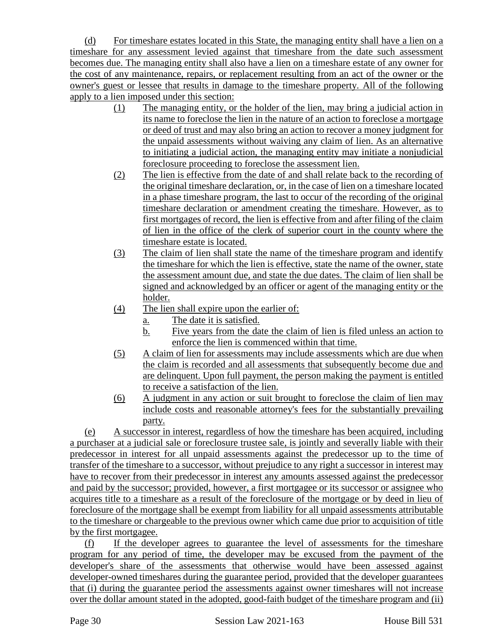(d) For timeshare estates located in this State, the managing entity shall have a lien on a timeshare for any assessment levied against that timeshare from the date such assessment becomes due. The managing entity shall also have a lien on a timeshare estate of any owner for the cost of any maintenance, repairs, or replacement resulting from an act of the owner or the owner's guest or lessee that results in damage to the timeshare property. All of the following apply to a lien imposed under this section:

- (1) The managing entity, or the holder of the lien, may bring a judicial action in its name to foreclose the lien in the nature of an action to foreclose a mortgage or deed of trust and may also bring an action to recover a money judgment for the unpaid assessments without waiving any claim of lien. As an alternative to initiating a judicial action, the managing entity may initiate a nonjudicial foreclosure proceeding to foreclose the assessment lien.
- (2) The lien is effective from the date of and shall relate back to the recording of the original timeshare declaration, or, in the case of lien on a timeshare located in a phase timeshare program, the last to occur of the recording of the original timeshare declaration or amendment creating the timeshare. However, as to first mortgages of record, the lien is effective from and after filing of the claim of lien in the office of the clerk of superior court in the county where the timeshare estate is located.
- (3) The claim of lien shall state the name of the timeshare program and identify the timeshare for which the lien is effective, state the name of the owner, state the assessment amount due, and state the due dates. The claim of lien shall be signed and acknowledged by an officer or agent of the managing entity or the holder.
- (4) The lien shall expire upon the earlier of:
	- a. The date it is satisfied.
	- b. Five years from the date the claim of lien is filed unless an action to enforce the lien is commenced within that time.
- (5) A claim of lien for assessments may include assessments which are due when the claim is recorded and all assessments that subsequently become due and are delinquent. Upon full payment, the person making the payment is entitled to receive a satisfaction of the lien.
- (6) A judgment in any action or suit brought to foreclose the claim of lien may include costs and reasonable attorney's fees for the substantially prevailing party.

(e) A successor in interest, regardless of how the timeshare has been acquired, including a purchaser at a judicial sale or foreclosure trustee sale, is jointly and severally liable with their predecessor in interest for all unpaid assessments against the predecessor up to the time of transfer of the timeshare to a successor, without prejudice to any right a successor in interest may have to recover from their predecessor in interest any amounts assessed against the predecessor and paid by the successor; provided, however, a first mortgagee or its successor or assignee who acquires title to a timeshare as a result of the foreclosure of the mortgage or by deed in lieu of foreclosure of the mortgage shall be exempt from liability for all unpaid assessments attributable to the timeshare or chargeable to the previous owner which came due prior to acquisition of title by the first mortgagee.

(f) If the developer agrees to guarantee the level of assessments for the timeshare program for any period of time, the developer may be excused from the payment of the developer's share of the assessments that otherwise would have been assessed against developer-owned timeshares during the guarantee period, provided that the developer guarantees that (i) during the guarantee period the assessments against owner timeshares will not increase over the dollar amount stated in the adopted, good-faith budget of the timeshare program and (ii)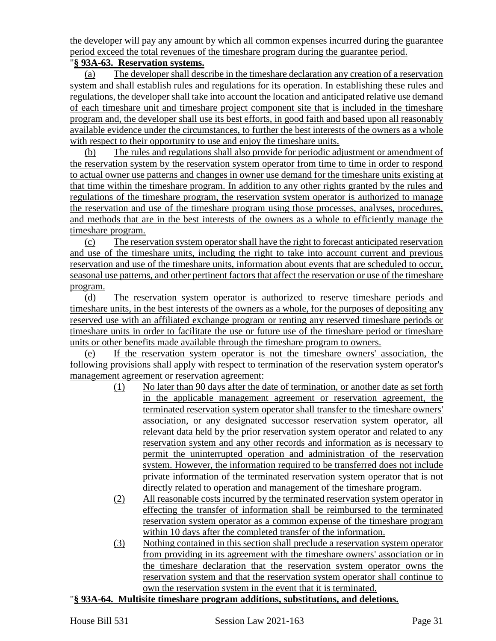the developer will pay any amount by which all common expenses incurred during the guarantee period exceed the total revenues of the timeshare program during the guarantee period.

# "**§ 93A-63. Reservation systems.**

(a) The developer shall describe in the timeshare declaration any creation of a reservation system and shall establish rules and regulations for its operation. In establishing these rules and regulations, the developer shall take into account the location and anticipated relative use demand of each timeshare unit and timeshare project component site that is included in the timeshare program and, the developer shall use its best efforts, in good faith and based upon all reasonably available evidence under the circumstances, to further the best interests of the owners as a whole with respect to their opportunity to use and enjoy the timeshare units.

(b) The rules and regulations shall also provide for periodic adjustment or amendment of the reservation system by the reservation system operator from time to time in order to respond to actual owner use patterns and changes in owner use demand for the timeshare units existing at that time within the timeshare program. In addition to any other rights granted by the rules and regulations of the timeshare program, the reservation system operator is authorized to manage the reservation and use of the timeshare program using those processes, analyses, procedures, and methods that are in the best interests of the owners as a whole to efficiently manage the timeshare program.

(c) The reservation system operator shall have the right to forecast anticipated reservation and use of the timeshare units, including the right to take into account current and previous reservation and use of the timeshare units, information about events that are scheduled to occur, seasonal use patterns, and other pertinent factors that affect the reservation or use of the timeshare program.

(d) The reservation system operator is authorized to reserve timeshare periods and timeshare units, in the best interests of the owners as a whole, for the purposes of depositing any reserved use with an affiliated exchange program or renting any reserved timeshare periods or timeshare units in order to facilitate the use or future use of the timeshare period or timeshare units or other benefits made available through the timeshare program to owners.

(e) If the reservation system operator is not the timeshare owners' association, the following provisions shall apply with respect to termination of the reservation system operator's management agreement or reservation agreement:

- (1) No later than 90 days after the date of termination, or another date as set forth in the applicable management agreement or reservation agreement, the terminated reservation system operator shall transfer to the timeshare owners' association, or any designated successor reservation system operator, all relevant data held by the prior reservation system operator and related to any reservation system and any other records and information as is necessary to permit the uninterrupted operation and administration of the reservation system. However, the information required to be transferred does not include private information of the terminated reservation system operator that is not directly related to operation and management of the timeshare program.
- (2) All reasonable costs incurred by the terminated reservation system operator in effecting the transfer of information shall be reimbursed to the terminated reservation system operator as a common expense of the timeshare program within 10 days after the completed transfer of the information.
- (3) Nothing contained in this section shall preclude a reservation system operator from providing in its agreement with the timeshare owners' association or in the timeshare declaration that the reservation system operator owns the reservation system and that the reservation system operator shall continue to own the reservation system in the event that it is terminated.

## "**§ 93A-64. Multisite timeshare program additions, substitutions, and deletions.**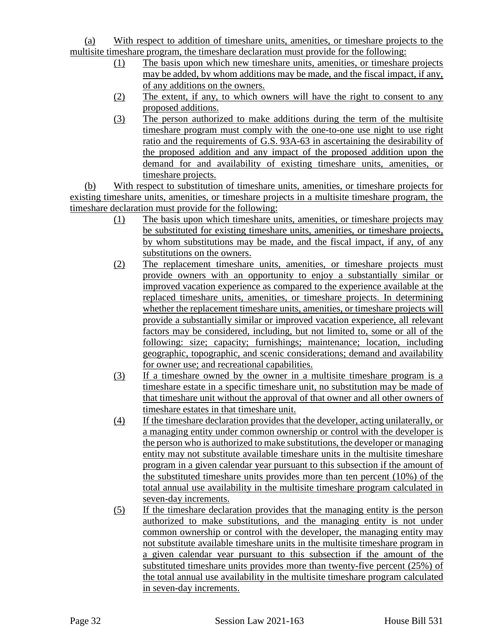## (a) With respect to addition of timeshare units, amenities, or timeshare projects to the multisite timeshare program, the timeshare declaration must provide for the following:

- (1) The basis upon which new timeshare units, amenities, or timeshare projects may be added, by whom additions may be made, and the fiscal impact, if any, of any additions on the owners.
- (2) The extent, if any, to which owners will have the right to consent to any proposed additions.
- (3) The person authorized to make additions during the term of the multisite timeshare program must comply with the one-to-one use night to use right ratio and the requirements of G.S. 93A-63 in ascertaining the desirability of the proposed addition and any impact of the proposed addition upon the demand for and availability of existing timeshare units, amenities, or timeshare projects.

(b) With respect to substitution of timeshare units, amenities, or timeshare projects for existing timeshare units, amenities, or timeshare projects in a multisite timeshare program, the timeshare declaration must provide for the following:

- (1) The basis upon which timeshare units, amenities, or timeshare projects may be substituted for existing timeshare units, amenities, or timeshare projects, by whom substitutions may be made, and the fiscal impact, if any, of any substitutions on the owners.
- (2) The replacement timeshare units, amenities, or timeshare projects must provide owners with an opportunity to enjoy a substantially similar or improved vacation experience as compared to the experience available at the replaced timeshare units, amenities, or timeshare projects. In determining whether the replacement timeshare units, amenities, or timeshare projects will provide a substantially similar or improved vacation experience, all relevant factors may be considered, including, but not limited to, some or all of the following: size; capacity; furnishings; maintenance; location, including geographic, topographic, and scenic considerations; demand and availability for owner use; and recreational capabilities.
- (3) If a timeshare owned by the owner in a multisite timeshare program is a timeshare estate in a specific timeshare unit, no substitution may be made of that timeshare unit without the approval of that owner and all other owners of timeshare estates in that timeshare unit.
- (4) If the timeshare declaration provides that the developer, acting unilaterally, or a managing entity under common ownership or control with the developer is the person who is authorized to make substitutions, the developer or managing entity may not substitute available timeshare units in the multisite timeshare program in a given calendar year pursuant to this subsection if the amount of the substituted timeshare units provides more than ten percent (10%) of the total annual use availability in the multisite timeshare program calculated in seven-day increments.
- (5) If the timeshare declaration provides that the managing entity is the person authorized to make substitutions, and the managing entity is not under common ownership or control with the developer, the managing entity may not substitute available timeshare units in the multisite timeshare program in a given calendar year pursuant to this subsection if the amount of the substituted timeshare units provides more than twenty-five percent (25%) of the total annual use availability in the multisite timeshare program calculated in seven-day increments.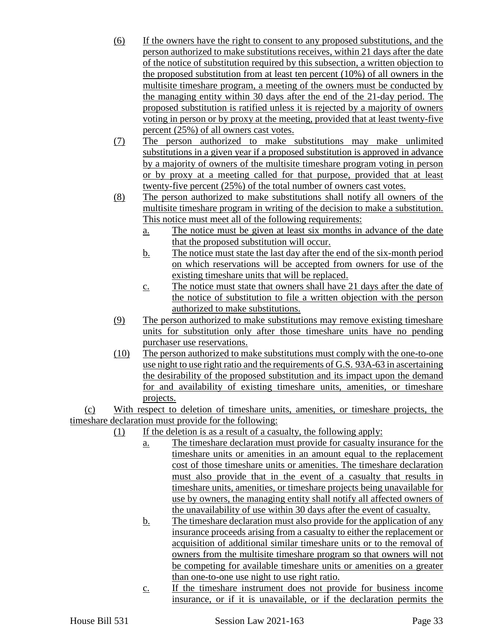- (6) If the owners have the right to consent to any proposed substitutions, and the person authorized to make substitutions receives, within 21 days after the date of the notice of substitution required by this subsection, a written objection to the proposed substitution from at least ten percent (10%) of all owners in the multisite timeshare program, a meeting of the owners must be conducted by the managing entity within 30 days after the end of the 21-day period. The proposed substitution is ratified unless it is rejected by a majority of owners voting in person or by proxy at the meeting, provided that at least twenty-five percent (25%) of all owners cast votes.
- (7) The person authorized to make substitutions may make unlimited substitutions in a given year if a proposed substitution is approved in advance by a majority of owners of the multisite timeshare program voting in person or by proxy at a meeting called for that purpose, provided that at least twenty-five percent (25%) of the total number of owners cast votes.
- (8) The person authorized to make substitutions shall notify all owners of the multisite timeshare program in writing of the decision to make a substitution. This notice must meet all of the following requirements:
	- a. The notice must be given at least six months in advance of the date that the proposed substitution will occur.
	- b. The notice must state the last day after the end of the six-month period on which reservations will be accepted from owners for use of the existing timeshare units that will be replaced.
	- c. The notice must state that owners shall have 21 days after the date of the notice of substitution to file a written objection with the person authorized to make substitutions.
- (9) The person authorized to make substitutions may remove existing timeshare units for substitution only after those timeshare units have no pending purchaser use reservations.
- (10) The person authorized to make substitutions must comply with the one-to-one use night to use right ratio and the requirements of G.S. 93A-63 in ascertaining the desirability of the proposed substitution and its impact upon the demand for and availability of existing timeshare units, amenities, or timeshare projects.

(c) With respect to deletion of timeshare units, amenities, or timeshare projects, the timeshare declaration must provide for the following:

- (1) If the deletion is as a result of a casualty, the following apply:
	- a. The timeshare declaration must provide for casualty insurance for the timeshare units or amenities in an amount equal to the replacement cost of those timeshare units or amenities. The timeshare declaration must also provide that in the event of a casualty that results in timeshare units, amenities, or timeshare projects being unavailable for use by owners, the managing entity shall notify all affected owners of the unavailability of use within 30 days after the event of casualty.
	- b. The timeshare declaration must also provide for the application of any insurance proceeds arising from a casualty to either the replacement or acquisition of additional similar timeshare units or to the removal of owners from the multisite timeshare program so that owners will not be competing for available timeshare units or amenities on a greater than one-to-one use night to use right ratio.
	- c. If the timeshare instrument does not provide for business income insurance, or if it is unavailable, or if the declaration permits the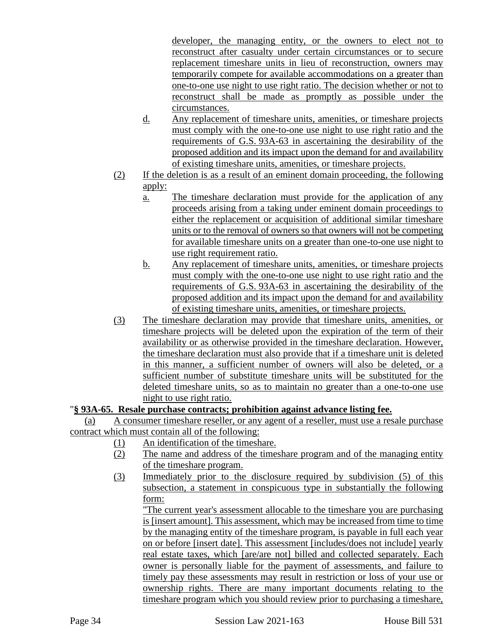developer, the managing entity, or the owners to elect not to reconstruct after casualty under certain circumstances or to secure replacement timeshare units in lieu of reconstruction, owners may temporarily compete for available accommodations on a greater than one-to-one use night to use right ratio. The decision whether or not to reconstruct shall be made as promptly as possible under the circumstances.

- d. Any replacement of timeshare units, amenities, or timeshare projects must comply with the one-to-one use night to use right ratio and the requirements of G.S. 93A-63 in ascertaining the desirability of the proposed addition and its impact upon the demand for and availability of existing timeshare units, amenities, or timeshare projects.
- (2) If the deletion is as a result of an eminent domain proceeding, the following apply:
	- a. The timeshare declaration must provide for the application of any proceeds arising from a taking under eminent domain proceedings to either the replacement or acquisition of additional similar timeshare units or to the removal of owners so that owners will not be competing for available timeshare units on a greater than one-to-one use night to use right requirement ratio.
	- b. Any replacement of timeshare units, amenities, or timeshare projects must comply with the one-to-one use night to use right ratio and the requirements of G.S. 93A-63 in ascertaining the desirability of the proposed addition and its impact upon the demand for and availability of existing timeshare units, amenities, or timeshare projects.
- (3) The timeshare declaration may provide that timeshare units, amenities, or timeshare projects will be deleted upon the expiration of the term of their availability or as otherwise provided in the timeshare declaration. However, the timeshare declaration must also provide that if a timeshare unit is deleted in this manner, a sufficient number of owners will also be deleted, or a sufficient number of substitute timeshare units will be substituted for the deleted timeshare units, so as to maintain no greater than a one-to-one use night to use right ratio.

## "**§ 93A-65. Resale purchase contracts; prohibition against advance listing fee.**

(a) A consumer timeshare reseller, or any agent of a reseller, must use a resale purchase contract which must contain all of the following:

- (1) An identification of the timeshare.
- (2) The name and address of the timeshare program and of the managing entity of the timeshare program.
- (3) Immediately prior to the disclosure required by subdivision (5) of this subsection, a statement in conspicuous type in substantially the following form:

"The current year's assessment allocable to the timeshare you are purchasing is [insert amount]. This assessment, which may be increased from time to time by the managing entity of the timeshare program, is payable in full each year on or before [insert date]. This assessment [includes/does not include] yearly real estate taxes, which [are/are not] billed and collected separately. Each owner is personally liable for the payment of assessments, and failure to timely pay these assessments may result in restriction or loss of your use or ownership rights. There are many important documents relating to the timeshare program which you should review prior to purchasing a timeshare,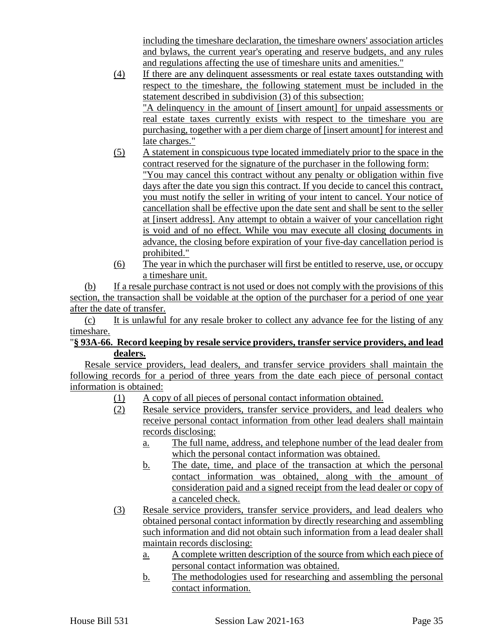including the timeshare declaration, the timeshare owners' association articles and bylaws, the current year's operating and reserve budgets, and any rules and regulations affecting the use of timeshare units and amenities."

- (4) If there are any delinquent assessments or real estate taxes outstanding with respect to the timeshare, the following statement must be included in the statement described in subdivision (3) of this subsection: "A delinquency in the amount of [insert amount] for unpaid assessments or real estate taxes currently exists with respect to the timeshare you are purchasing, together with a per diem charge of [insert amount] for interest and late charges."
- (5) A statement in conspicuous type located immediately prior to the space in the contract reserved for the signature of the purchaser in the following form: "You may cancel this contract without any penalty or obligation within five days after the date you sign this contract. If you decide to cancel this contract, you must notify the seller in writing of your intent to cancel. Your notice of cancellation shall be effective upon the date sent and shall be sent to the seller at [insert address]. Any attempt to obtain a waiver of your cancellation right is void and of no effect. While you may execute all closing documents in advance, the closing before expiration of your five-day cancellation period is prohibited."
- (6) The year in which the purchaser will first be entitled to reserve, use, or occupy a timeshare unit.

(b) If a resale purchase contract is not used or does not comply with the provisions of this section, the transaction shall be voidable at the option of the purchaser for a period of one year after the date of transfer.

(c) It is unlawful for any resale broker to collect any advance fee for the listing of any timeshare.

## "**§ 93A-66. Record keeping by resale service providers, transfer service providers, and lead dealers.**

Resale service providers, lead dealers, and transfer service providers shall maintain the following records for a period of three years from the date each piece of personal contact information is obtained:

- (1) A copy of all pieces of personal contact information obtained.
- (2) Resale service providers, transfer service providers, and lead dealers who receive personal contact information from other lead dealers shall maintain records disclosing:
	- a. The full name, address, and telephone number of the lead dealer from which the personal contact information was obtained.
	- b. The date, time, and place of the transaction at which the personal contact information was obtained, along with the amount of consideration paid and a signed receipt from the lead dealer or copy of a canceled check.
- (3) Resale service providers, transfer service providers, and lead dealers who obtained personal contact information by directly researching and assembling such information and did not obtain such information from a lead dealer shall maintain records disclosing:
	- a. A complete written description of the source from which each piece of personal contact information was obtained.
	- b. The methodologies used for researching and assembling the personal contact information.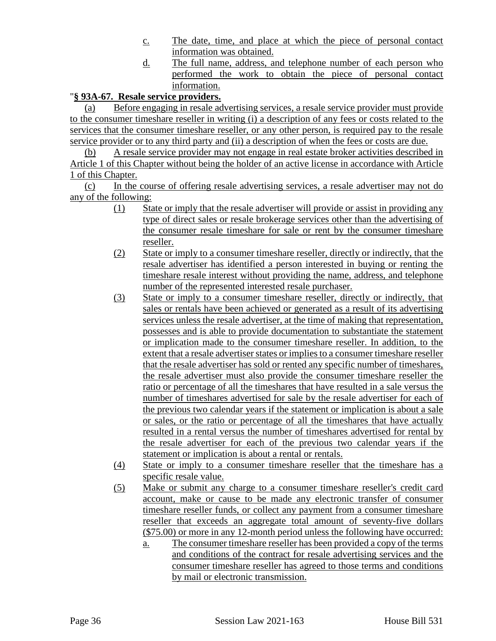- c. The date, time, and place at which the piece of personal contact information was obtained.
- d. The full name, address, and telephone number of each person who performed the work to obtain the piece of personal contact information.

## "**§ 93A-67. Resale service providers.**

(a) Before engaging in resale advertising services, a resale service provider must provide to the consumer timeshare reseller in writing (i) a description of any fees or costs related to the services that the consumer timeshare reseller, or any other person, is required pay to the resale service provider or to any third party and (ii) a description of when the fees or costs are due.

(b) A resale service provider may not engage in real estate broker activities described in Article 1 of this Chapter without being the holder of an active license in accordance with Article 1 of this Chapter.

(c) In the course of offering resale advertising services, a resale advertiser may not do any of the following:

- (1) State or imply that the resale advertiser will provide or assist in providing any type of direct sales or resale brokerage services other than the advertising of the consumer resale timeshare for sale or rent by the consumer timeshare reseller.
- (2) State or imply to a consumer timeshare reseller, directly or indirectly, that the resale advertiser has identified a person interested in buying or renting the timeshare resale interest without providing the name, address, and telephone number of the represented interested resale purchaser.
- (3) State or imply to a consumer timeshare reseller, directly or indirectly, that sales or rentals have been achieved or generated as a result of its advertising services unless the resale advertiser, at the time of making that representation, possesses and is able to provide documentation to substantiate the statement or implication made to the consumer timeshare reseller. In addition, to the extent that a resale advertiser states or implies to a consumer timeshare reseller that the resale advertiser has sold or rented any specific number of timeshares, the resale advertiser must also provide the consumer timeshare reseller the ratio or percentage of all the timeshares that have resulted in a sale versus the number of timeshares advertised for sale by the resale advertiser for each of the previous two calendar years if the statement or implication is about a sale or sales, or the ratio or percentage of all the timeshares that have actually resulted in a rental versus the number of timeshares advertised for rental by the resale advertiser for each of the previous two calendar years if the statement or implication is about a rental or rentals.
- (4) State or imply to a consumer timeshare reseller that the timeshare has a specific resale value.
- (5) Make or submit any charge to a consumer timeshare reseller's credit card account, make or cause to be made any electronic transfer of consumer timeshare reseller funds, or collect any payment from a consumer timeshare reseller that exceeds an aggregate total amount of seventy-five dollars (\$75.00) or more in any 12-month period unless the following have occurred:
	- a. The consumer timeshare reseller has been provided a copy of the terms and conditions of the contract for resale advertising services and the consumer timeshare reseller has agreed to those terms and conditions by mail or electronic transmission.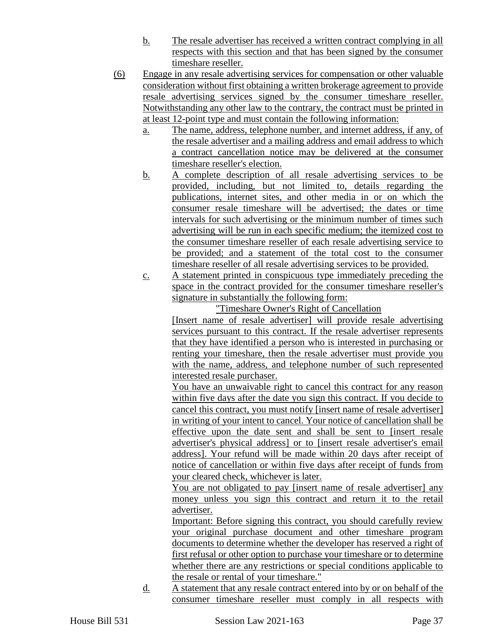- b. The resale advertiser has received a written contract complying in all respects with this section and that has been signed by the consumer timeshare reseller.
- (6) Engage in any resale advertising services for compensation or other valuable consideration without first obtaining a written brokerage agreement to provide resale advertising services signed by the consumer timeshare reseller. Notwithstanding any other law to the contrary, the contract must be printed in at least 12-point type and must contain the following information:
	- a. The name, address, telephone number, and internet address, if any, of the resale advertiser and a mailing address and email address to which a contract cancellation notice may be delivered at the consumer timeshare reseller's election.
	- b. A complete description of all resale advertising services to be provided, including, but not limited to, details regarding the publications, internet sites, and other media in or on which the consumer resale timeshare will be advertised; the dates or time intervals for such advertising or the minimum number of times such advertising will be run in each specific medium; the itemized cost to the consumer timeshare reseller of each resale advertising service to be provided; and a statement of the total cost to the consumer timeshare reseller of all resale advertising services to be provided.
	- c. A statement printed in conspicuous type immediately preceding the space in the contract provided for the consumer timeshare reseller's signature in substantially the following form:

"Timeshare Owner's Right of Cancellation [Insert name of resale advertiser] will provide resale advertising services pursuant to this contract. If the resale advertiser represents that they have identified a person who is interested in purchasing or renting your timeshare, then the resale advertiser must provide you with the name, address, and telephone number of such represented

interested resale purchaser. You have an unwaivable right to cancel this contract for any reason within five days after the date you sign this contract. If you decide to cancel this contract, you must notify [insert name of resale advertiser] in writing of your intent to cancel. Your notice of cancellation shall be effective upon the date sent and shall be sent to [insert resale advertiser's physical address] or to [insert resale advertiser's email address]. Your refund will be made within 20 days after receipt of notice of cancellation or within five days after receipt of funds from your cleared check, whichever is later.

You are not obligated to pay [insert name of resale advertiser] any money unless you sign this contract and return it to the retail advertiser.

Important: Before signing this contract, you should carefully review your original purchase document and other timeshare program documents to determine whether the developer has reserved a right of first refusal or other option to purchase your timeshare or to determine whether there are any restrictions or special conditions applicable to the resale or rental of your timeshare."

d. A statement that any resale contract entered into by or on behalf of the consumer timeshare reseller must comply in all respects with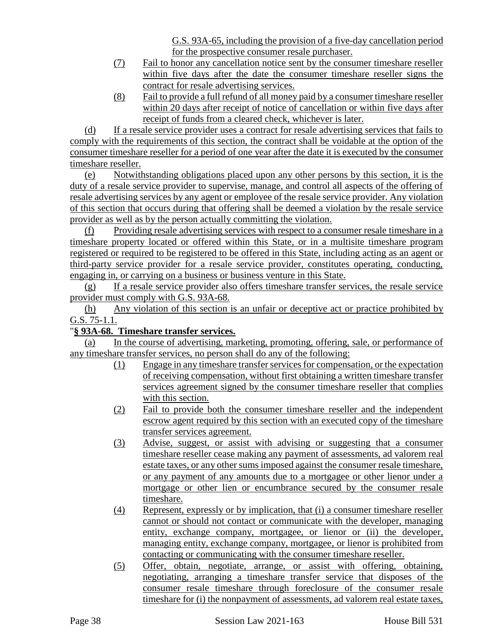G.S. 93A-65, including the provision of a five-day cancellation period for the prospective consumer resale purchaser.

- (7) Fail to honor any cancellation notice sent by the consumer timeshare reseller within five days after the date the consumer timeshare reseller signs the contract for resale advertising services.
- (8) Fail to provide a full refund of all money paid by a consumer timeshare reseller within 20 days after receipt of notice of cancellation or within five days after receipt of funds from a cleared check, whichever is later.

(d) If a resale service provider uses a contract for resale advertising services that fails to comply with the requirements of this section, the contract shall be voidable at the option of the consumer timeshare reseller for a period of one year after the date it is executed by the consumer timeshare reseller.

(e) Notwithstanding obligations placed upon any other persons by this section, it is the duty of a resale service provider to supervise, manage, and control all aspects of the offering of resale advertising services by any agent or employee of the resale service provider. Any violation of this section that occurs during that offering shall be deemed a violation by the resale service provider as well as by the person actually committing the violation.

(f) Providing resale advertising services with respect to a consumer resale timeshare in a timeshare property located or offered within this State, or in a multisite timeshare program registered or required to be registered to be offered in this State, including acting as an agent or third-party service provider for a resale service provider, constitutes operating, conducting, engaging in, or carrying on a business or business venture in this State.

(g) If a resale service provider also offers timeshare transfer services, the resale service provider must comply with G.S. 93A-68.

(h) Any violation of this section is an unfair or deceptive act or practice prohibited by G.S. 75-1.1.

# "**§ 93A-68. Timeshare transfer services.**

(a) In the course of advertising, marketing, promoting, offering, sale, or performance of any timeshare transfer services, no person shall do any of the following:

- (1) Engage in any timeshare transfer services for compensation, or the expectation of receiving compensation, without first obtaining a written timeshare transfer services agreement signed by the consumer timeshare reseller that complies with this section.
- (2) Fail to provide both the consumer timeshare reseller and the independent escrow agent required by this section with an executed copy of the timeshare transfer services agreement.
- (3) Advise, suggest, or assist with advising or suggesting that a consumer timeshare reseller cease making any payment of assessments, ad valorem real estate taxes, or any other sums imposed against the consumer resale timeshare, or any payment of any amounts due to a mortgagee or other lienor under a mortgage or other lien or encumbrance secured by the consumer resale timeshare.
- (4) Represent, expressly or by implication, that (i) a consumer timeshare reseller cannot or should not contact or communicate with the developer, managing entity, exchange company, mortgagee, or lienor or (ii) the developer, managing entity, exchange company, mortgagee, or lienor is prohibited from contacting or communicating with the consumer timeshare reseller.
- (5) Offer, obtain, negotiate, arrange, or assist with offering, obtaining, negotiating, arranging a timeshare transfer service that disposes of the consumer resale timeshare through foreclosure of the consumer resale timeshare for (i) the nonpayment of assessments, ad valorem real estate taxes,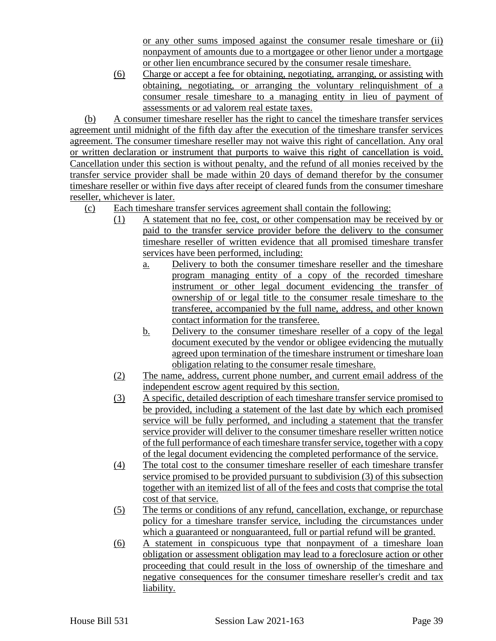or any other sums imposed against the consumer resale timeshare or (ii) nonpayment of amounts due to a mortgagee or other lienor under a mortgage or other lien encumbrance secured by the consumer resale timeshare.

(6) Charge or accept a fee for obtaining, negotiating, arranging, or assisting with obtaining, negotiating, or arranging the voluntary relinquishment of a consumer resale timeshare to a managing entity in lieu of payment of assessments or ad valorem real estate taxes.

(b) A consumer timeshare reseller has the right to cancel the timeshare transfer services agreement until midnight of the fifth day after the execution of the timeshare transfer services agreement. The consumer timeshare reseller may not waive this right of cancellation. Any oral or written declaration or instrument that purports to waive this right of cancellation is void. Cancellation under this section is without penalty, and the refund of all monies received by the transfer service provider shall be made within 20 days of demand therefor by the consumer timeshare reseller or within five days after receipt of cleared funds from the consumer timeshare reseller, whichever is later.

- (c) Each timeshare transfer services agreement shall contain the following:
	- (1) A statement that no fee, cost, or other compensation may be received by or paid to the transfer service provider before the delivery to the consumer timeshare reseller of written evidence that all promised timeshare transfer services have been performed, including:
		- a. Delivery to both the consumer timeshare reseller and the timeshare program managing entity of a copy of the recorded timeshare instrument or other legal document evidencing the transfer of ownership of or legal title to the consumer resale timeshare to the transferee, accompanied by the full name, address, and other known contact information for the transferee.
		- b. Delivery to the consumer timeshare reseller of a copy of the legal document executed by the vendor or obligee evidencing the mutually agreed upon termination of the timeshare instrument or timeshare loan obligation relating to the consumer resale timeshare.
	- (2) The name, address, current phone number, and current email address of the independent escrow agent required by this section.
	- (3) A specific, detailed description of each timeshare transfer service promised to be provided, including a statement of the last date by which each promised service will be fully performed, and including a statement that the transfer service provider will deliver to the consumer timeshare reseller written notice of the full performance of each timeshare transfer service, together with a copy of the legal document evidencing the completed performance of the service.
	- (4) The total cost to the consumer timeshare reseller of each timeshare transfer service promised to be provided pursuant to subdivision (3) of this subsection together with an itemized list of all of the fees and costs that comprise the total cost of that service.
	- (5) The terms or conditions of any refund, cancellation, exchange, or repurchase policy for a timeshare transfer service, including the circumstances under which a guaranteed or nonguaranteed, full or partial refund will be granted.
	- (6) A statement in conspicuous type that nonpayment of a timeshare loan obligation or assessment obligation may lead to a foreclosure action or other proceeding that could result in the loss of ownership of the timeshare and negative consequences for the consumer timeshare reseller's credit and tax liability.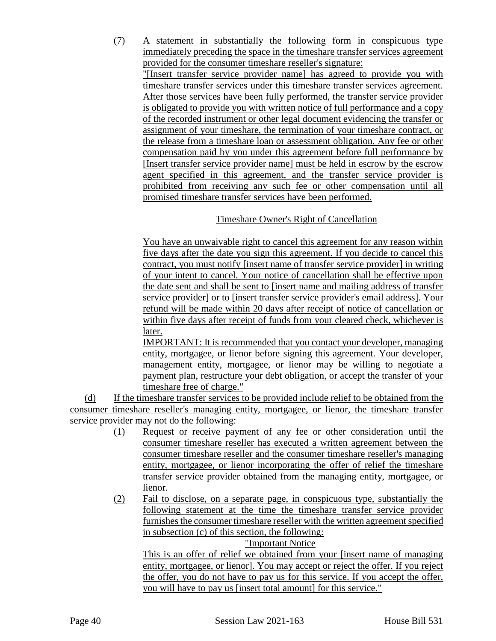(7) A statement in substantially the following form in conspicuous type immediately preceding the space in the timeshare transfer services agreement provided for the consumer timeshare reseller's signature:

"[Insert transfer service provider name] has agreed to provide you with timeshare transfer services under this timeshare transfer services agreement. After those services have been fully performed, the transfer service provider is obligated to provide you with written notice of full performance and a copy of the recorded instrument or other legal document evidencing the transfer or assignment of your timeshare, the termination of your timeshare contract, or the release from a timeshare loan or assessment obligation. Any fee or other compensation paid by you under this agreement before full performance by [Insert transfer service provider name] must be held in escrow by the escrow agent specified in this agreement, and the transfer service provider is prohibited from receiving any such fee or other compensation until all promised timeshare transfer services have been performed.

## Timeshare Owner's Right of Cancellation

You have an unwaivable right to cancel this agreement for any reason within five days after the date you sign this agreement. If you decide to cancel this contract, you must notify [insert name of transfer service provider] in writing of your intent to cancel. Your notice of cancellation shall be effective upon the date sent and shall be sent to [insert name and mailing address of transfer service provider] or to [insert transfer service provider's email address]. Your refund will be made within 20 days after receipt of notice of cancellation or within five days after receipt of funds from your cleared check, whichever is later.

IMPORTANT: It is recommended that you contact your developer, managing entity, mortgagee, or lienor before signing this agreement. Your developer, management entity, mortgagee, or lienor may be willing to negotiate a payment plan, restructure your debt obligation, or accept the transfer of your timeshare free of charge."

(d) If the timeshare transfer services to be provided include relief to be obtained from the consumer timeshare reseller's managing entity, mortgagee, or lienor, the timeshare transfer service provider may not do the following:

- (1) Request or receive payment of any fee or other consideration until the consumer timeshare reseller has executed a written agreement between the consumer timeshare reseller and the consumer timeshare reseller's managing entity, mortgagee, or lienor incorporating the offer of relief the timeshare transfer service provider obtained from the managing entity, mortgagee, or lienor.
- (2) Fail to disclose, on a separate page, in conspicuous type, substantially the following statement at the time the timeshare transfer service provider furnishes the consumer timeshare reseller with the written agreement specified in subsection (c) of this section, the following:

"Important Notice

This is an offer of relief we obtained from your [insert name of managing entity, mortgagee, or lienor]. You may accept or reject the offer. If you reject the offer, you do not have to pay us for this service. If you accept the offer, you will have to pay us [insert total amount] for this service."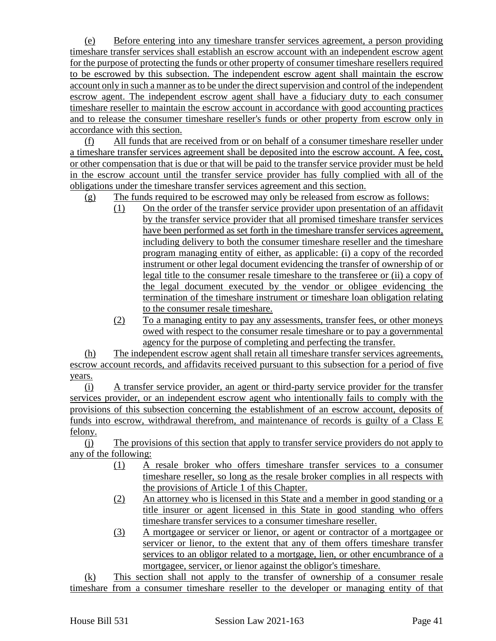(e) Before entering into any timeshare transfer services agreement, a person providing timeshare transfer services shall establish an escrow account with an independent escrow agent for the purpose of protecting the funds or other property of consumer timeshare resellers required to be escrowed by this subsection. The independent escrow agent shall maintain the escrow account only in such a manner as to be under the direct supervision and control of the independent escrow agent. The independent escrow agent shall have a fiduciary duty to each consumer timeshare reseller to maintain the escrow account in accordance with good accounting practices and to release the consumer timeshare reseller's funds or other property from escrow only in accordance with this section.

(f) All funds that are received from or on behalf of a consumer timeshare reseller under a timeshare transfer services agreement shall be deposited into the escrow account. A fee, cost, or other compensation that is due or that will be paid to the transfer service provider must be held in the escrow account until the transfer service provider has fully complied with all of the obligations under the timeshare transfer services agreement and this section.

- (g) The funds required to be escrowed may only be released from escrow as follows:
	- (1) On the order of the transfer service provider upon presentation of an affidavit by the transfer service provider that all promised timeshare transfer services have been performed as set forth in the timeshare transfer services agreement, including delivery to both the consumer timeshare reseller and the timeshare program managing entity of either, as applicable: (i) a copy of the recorded instrument or other legal document evidencing the transfer of ownership of or legal title to the consumer resale timeshare to the transferee or (ii) a copy of the legal document executed by the vendor or obligee evidencing the termination of the timeshare instrument or timeshare loan obligation relating to the consumer resale timeshare.
	- (2) To a managing entity to pay any assessments, transfer fees, or other moneys owed with respect to the consumer resale timeshare or to pay a governmental agency for the purpose of completing and perfecting the transfer.

(h) The independent escrow agent shall retain all timeshare transfer services agreements, escrow account records, and affidavits received pursuant to this subsection for a period of five years.

(i) A transfer service provider, an agent or third-party service provider for the transfer services provider, or an independent escrow agent who intentionally fails to comply with the provisions of this subsection concerning the establishment of an escrow account, deposits of funds into escrow, withdrawal therefrom, and maintenance of records is guilty of a Class E felony.

(j) The provisions of this section that apply to transfer service providers do not apply to any of the following:

- (1) A resale broker who offers timeshare transfer services to a consumer timeshare reseller, so long as the resale broker complies in all respects with the provisions of Article 1 of this Chapter.
- (2) An attorney who is licensed in this State and a member in good standing or a title insurer or agent licensed in this State in good standing who offers timeshare transfer services to a consumer timeshare reseller.
- (3) A mortgagee or servicer or lienor, or agent or contractor of a mortgagee or servicer or lienor, to the extent that any of them offers timeshare transfer services to an obligor related to a mortgage, lien, or other encumbrance of a mortgagee, servicer, or lienor against the obligor's timeshare.

(k) This section shall not apply to the transfer of ownership of a consumer resale timeshare from a consumer timeshare reseller to the developer or managing entity of that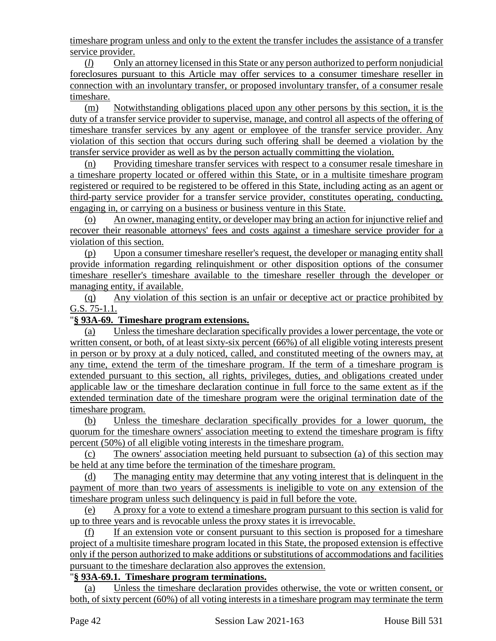timeshare program unless and only to the extent the transfer includes the assistance of a transfer service provider.

(*l*) Only an attorney licensed in this State or any person authorized to perform nonjudicial foreclosures pursuant to this Article may offer services to a consumer timeshare reseller in connection with an involuntary transfer, or proposed involuntary transfer, of a consumer resale timeshare.

(m) Notwithstanding obligations placed upon any other persons by this section, it is the duty of a transfer service provider to supervise, manage, and control all aspects of the offering of timeshare transfer services by any agent or employee of the transfer service provider. Any violation of this section that occurs during such offering shall be deemed a violation by the transfer service provider as well as by the person actually committing the violation.

(n) Providing timeshare transfer services with respect to a consumer resale timeshare in a timeshare property located or offered within this State, or in a multisite timeshare program registered or required to be registered to be offered in this State, including acting as an agent or third-party service provider for a transfer service provider, constitutes operating, conducting, engaging in, or carrying on a business or business venture in this State.

(o) An owner, managing entity, or developer may bring an action for injunctive relief and recover their reasonable attorneys' fees and costs against a timeshare service provider for a violation of this section.

(p) Upon a consumer timeshare reseller's request, the developer or managing entity shall provide information regarding relinquishment or other disposition options of the consumer timeshare reseller's timeshare available to the timeshare reseller through the developer or managing entity, if available.

(q) Any violation of this section is an unfair or deceptive act or practice prohibited by G.S. 75-1.1.

## "**§ 93A-69. Timeshare program extensions.**

(a) Unless the timeshare declaration specifically provides a lower percentage, the vote or written consent, or both, of at least sixty-six percent (66%) of all eligible voting interests present in person or by proxy at a duly noticed, called, and constituted meeting of the owners may, at any time, extend the term of the timeshare program. If the term of a timeshare program is extended pursuant to this section, all rights, privileges, duties, and obligations created under applicable law or the timeshare declaration continue in full force to the same extent as if the extended termination date of the timeshare program were the original termination date of the timeshare program.

(b) Unless the timeshare declaration specifically provides for a lower quorum, the quorum for the timeshare owners' association meeting to extend the timeshare program is fifty percent (50%) of all eligible voting interests in the timeshare program.

(c) The owners' association meeting held pursuant to subsection (a) of this section may be held at any time before the termination of the timeshare program.

(d) The managing entity may determine that any voting interest that is delinquent in the payment of more than two years of assessments is ineligible to vote on any extension of the timeshare program unless such delinquency is paid in full before the vote.

(e) A proxy for a vote to extend a timeshare program pursuant to this section is valid for up to three years and is revocable unless the proxy states it is irrevocable.

(f) If an extension vote or consent pursuant to this section is proposed for a timeshare project of a multisite timeshare program located in this State, the proposed extension is effective only if the person authorized to make additions or substitutions of accommodations and facilities pursuant to the timeshare declaration also approves the extension.

#### "**§ 93A-69.1. Timeshare program terminations.**

(a) Unless the timeshare declaration provides otherwise, the vote or written consent, or both, of sixty percent (60%) of all voting interests in a timeshare program may terminate the term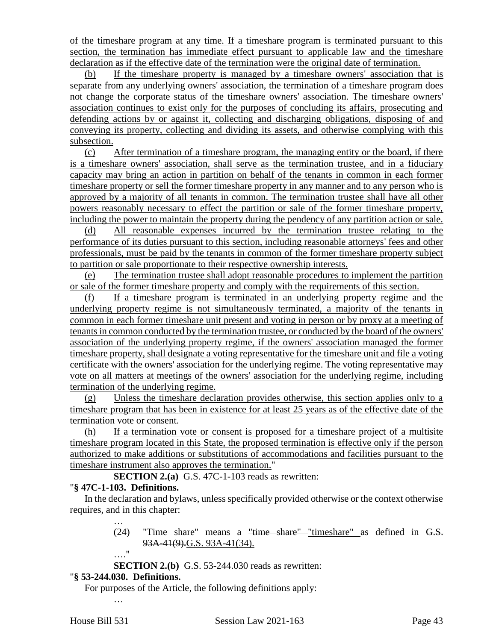of the timeshare program at any time. If a timeshare program is terminated pursuant to this section, the termination has immediate effect pursuant to applicable law and the timeshare declaration as if the effective date of the termination were the original date of termination.

(b) If the timeshare property is managed by a timeshare owners' association that is separate from any underlying owners' association, the termination of a timeshare program does not change the corporate status of the timeshare owners' association. The timeshare owners' association continues to exist only for the purposes of concluding its affairs, prosecuting and defending actions by or against it, collecting and discharging obligations, disposing of and conveying its property, collecting and dividing its assets, and otherwise complying with this subsection.

(c) After termination of a timeshare program, the managing entity or the board, if there is a timeshare owners' association, shall serve as the termination trustee, and in a fiduciary capacity may bring an action in partition on behalf of the tenants in common in each former timeshare property or sell the former timeshare property in any manner and to any person who is approved by a majority of all tenants in common. The termination trustee shall have all other powers reasonably necessary to effect the partition or sale of the former timeshare property, including the power to maintain the property during the pendency of any partition action or sale.

(d) All reasonable expenses incurred by the termination trustee relating to the performance of its duties pursuant to this section, including reasonable attorneys' fees and other professionals, must be paid by the tenants in common of the former timeshare property subject to partition or sale proportionate to their respective ownership interests.

(e) The termination trustee shall adopt reasonable procedures to implement the partition or sale of the former timeshare property and comply with the requirements of this section.

(f) If a timeshare program is terminated in an underlying property regime and the underlying property regime is not simultaneously terminated, a majority of the tenants in common in each former timeshare unit present and voting in person or by proxy at a meeting of tenants in common conducted by the termination trustee, or conducted by the board of the owners' association of the underlying property regime, if the owners' association managed the former timeshare property, shall designate a voting representative for the timeshare unit and file a voting certificate with the owners' association for the underlying regime. The voting representative may vote on all matters at meetings of the owners' association for the underlying regime, including termination of the underlying regime.

(g) Unless the timeshare declaration provides otherwise, this section applies only to a timeshare program that has been in existence for at least 25 years as of the effective date of the termination vote or consent.

(h) If a termination vote or consent is proposed for a timeshare project of a multisite timeshare program located in this State, the proposed termination is effective only if the person authorized to make additions or substitutions of accommodations and facilities pursuant to the timeshare instrument also approves the termination."

**SECTION 2.(a)** G.S. 47C-1-103 reads as rewritten:

## "**§ 47C-1-103. Definitions.**

In the declaration and bylaws, unless specifically provided otherwise or the context otherwise requires, and in this chapter:

- (24) "Time share" means a "time share" "timeshare" as defined in G.S. 93A-41(9).G.S. 93A-41(34).
- …."

…

**SECTION 2.(b)** G.S. 53-244.030 reads as rewritten:

## "**§ 53-244.030. Definitions.**

For purposes of the Article, the following definitions apply:

…